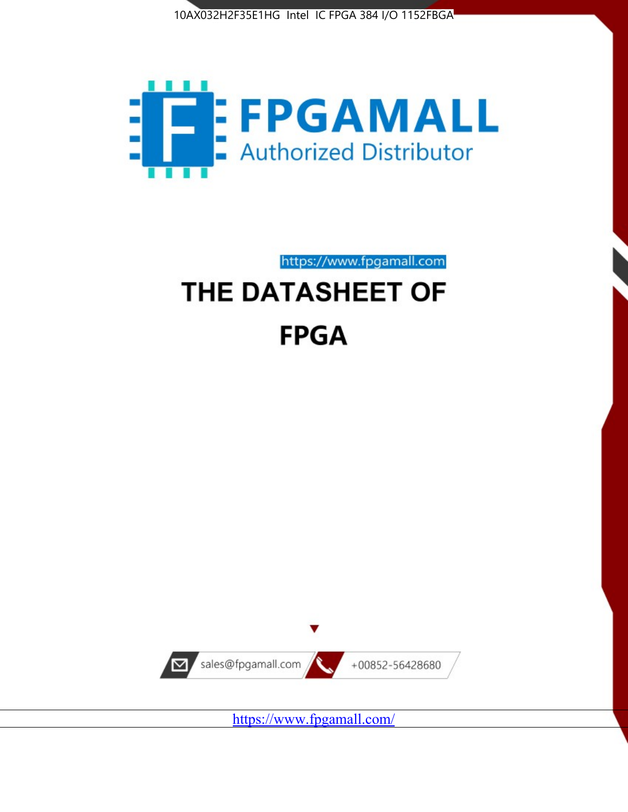



https://www.fpgamall.com THE DATASHEET OF

# **FPGA**



<https://www.fpgamall.com/>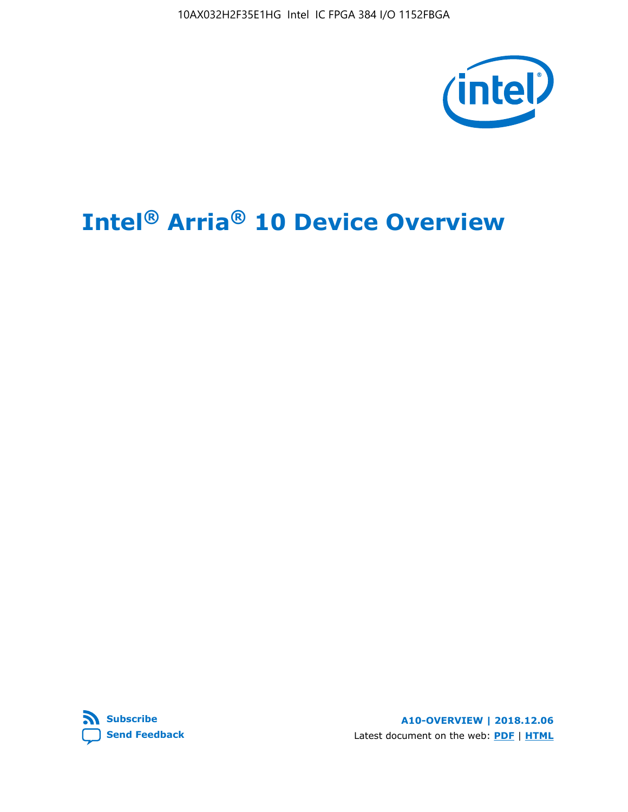10AX032H2F35E1HG Intel IC FPGA 384 I/O 1152FBGA



# **Intel® Arria® 10 Device Overview**



**A10-OVERVIEW | 2018.12.06** Latest document on the web: **[PDF](https://www.intel.com/content/dam/www/programmable/us/en/pdfs/literature/hb/arria-10/a10_overview.pdf)** | **[HTML](https://www.intel.com/content/www/us/en/programmable/documentation/sam1403480274650.html)**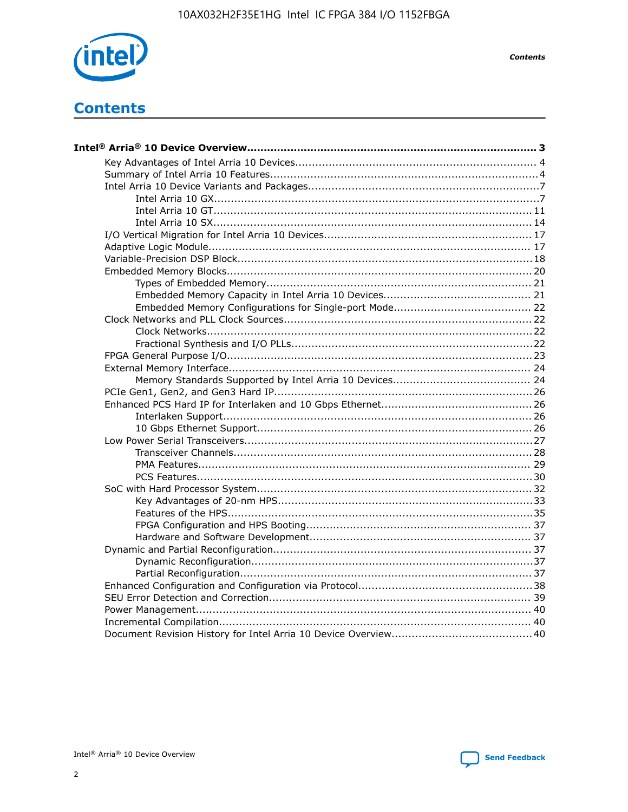

**Contents** 

# **Contents**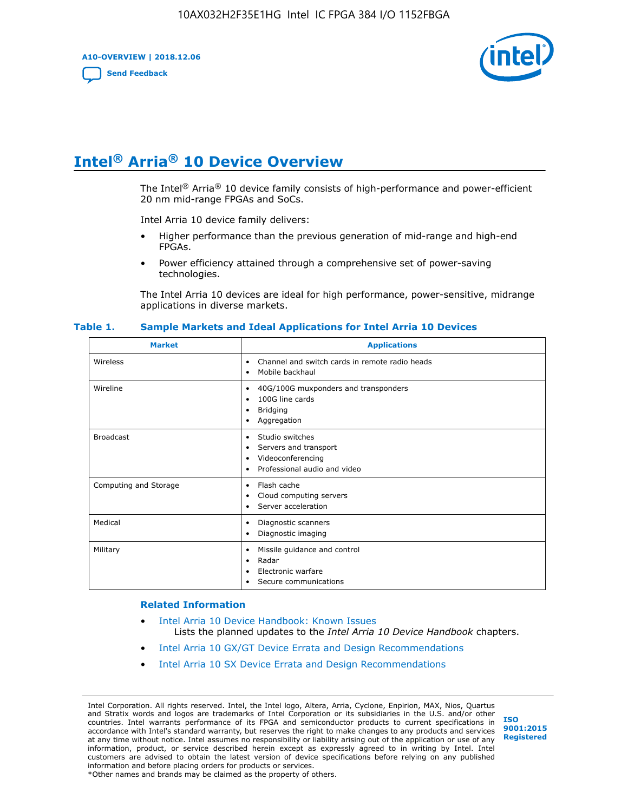**A10-OVERVIEW | 2018.12.06**

**[Send Feedback](mailto:FPGAtechdocfeedback@intel.com?subject=Feedback%20on%20Intel%20Arria%2010%20Device%20Overview%20(A10-OVERVIEW%202018.12.06)&body=We%20appreciate%20your%20feedback.%20In%20your%20comments,%20also%20specify%20the%20page%20number%20or%20paragraph.%20Thank%20you.)**



# **Intel® Arria® 10 Device Overview**

The Intel<sup>®</sup> Arria<sup>®</sup> 10 device family consists of high-performance and power-efficient 20 nm mid-range FPGAs and SoCs.

Intel Arria 10 device family delivers:

- Higher performance than the previous generation of mid-range and high-end FPGAs.
- Power efficiency attained through a comprehensive set of power-saving technologies.

The Intel Arria 10 devices are ideal for high performance, power-sensitive, midrange applications in diverse markets.

| <b>Market</b>         | <b>Applications</b>                                                                                               |
|-----------------------|-------------------------------------------------------------------------------------------------------------------|
| Wireless              | Channel and switch cards in remote radio heads<br>٠<br>Mobile backhaul<br>٠                                       |
| Wireline              | 40G/100G muxponders and transponders<br>٠<br>100G line cards<br>٠<br><b>Bridging</b><br>٠<br>Aggregation<br>٠     |
| <b>Broadcast</b>      | Studio switches<br>٠<br>Servers and transport<br>٠<br>Videoconferencing<br>٠<br>Professional audio and video<br>٠ |
| Computing and Storage | Flash cache<br>٠<br>Cloud computing servers<br>٠<br>Server acceleration<br>٠                                      |
| Medical               | Diagnostic scanners<br>٠<br>Diagnostic imaging<br>٠                                                               |
| Military              | Missile guidance and control<br>٠<br>Radar<br>٠<br>Electronic warfare<br>٠<br>Secure communications<br>٠          |

#### **Table 1. Sample Markets and Ideal Applications for Intel Arria 10 Devices**

#### **Related Information**

- [Intel Arria 10 Device Handbook: Known Issues](http://www.altera.com/support/kdb/solutions/rd07302013_646.html) Lists the planned updates to the *Intel Arria 10 Device Handbook* chapters.
- [Intel Arria 10 GX/GT Device Errata and Design Recommendations](https://www.intel.com/content/www/us/en/programmable/documentation/agz1493851706374.html#yqz1494433888646)
- [Intel Arria 10 SX Device Errata and Design Recommendations](https://www.intel.com/content/www/us/en/programmable/documentation/cru1462832385668.html#cru1462832558642)

Intel Corporation. All rights reserved. Intel, the Intel logo, Altera, Arria, Cyclone, Enpirion, MAX, Nios, Quartus and Stratix words and logos are trademarks of Intel Corporation or its subsidiaries in the U.S. and/or other countries. Intel warrants performance of its FPGA and semiconductor products to current specifications in accordance with Intel's standard warranty, but reserves the right to make changes to any products and services at any time without notice. Intel assumes no responsibility or liability arising out of the application or use of any information, product, or service described herein except as expressly agreed to in writing by Intel. Intel customers are advised to obtain the latest version of device specifications before relying on any published information and before placing orders for products or services. \*Other names and brands may be claimed as the property of others.

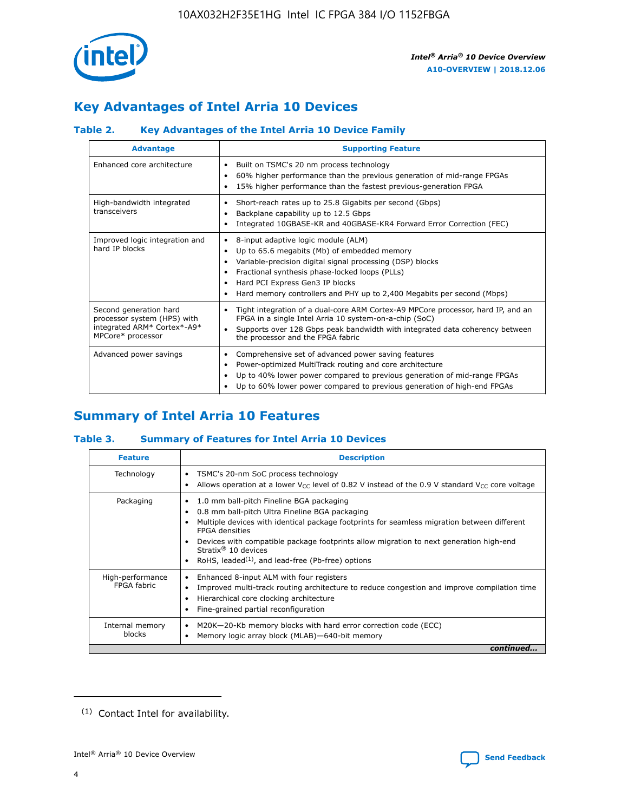

# **Key Advantages of Intel Arria 10 Devices**

## **Table 2. Key Advantages of the Intel Arria 10 Device Family**

| <b>Advantage</b>                                                                                          | <b>Supporting Feature</b>                                                                                                                                                                                                                                                                                                     |  |  |  |  |  |
|-----------------------------------------------------------------------------------------------------------|-------------------------------------------------------------------------------------------------------------------------------------------------------------------------------------------------------------------------------------------------------------------------------------------------------------------------------|--|--|--|--|--|
| Enhanced core architecture                                                                                | Built on TSMC's 20 nm process technology<br>٠<br>60% higher performance than the previous generation of mid-range FPGAs<br>٠<br>15% higher performance than the fastest previous-generation FPGA<br>٠                                                                                                                         |  |  |  |  |  |
| High-bandwidth integrated<br>transceivers                                                                 | Short-reach rates up to 25.8 Gigabits per second (Gbps)<br>٠<br>Backplane capability up to 12.5 Gbps<br>٠<br>Integrated 10GBASE-KR and 40GBASE-KR4 Forward Error Correction (FEC)<br>٠                                                                                                                                        |  |  |  |  |  |
| Improved logic integration and<br>hard IP blocks                                                          | 8-input adaptive logic module (ALM)<br>٠<br>Up to 65.6 megabits (Mb) of embedded memory<br>٠<br>Variable-precision digital signal processing (DSP) blocks<br>Fractional synthesis phase-locked loops (PLLs)<br>٠<br>Hard PCI Express Gen3 IP blocks<br>Hard memory controllers and PHY up to 2,400 Megabits per second (Mbps) |  |  |  |  |  |
| Second generation hard<br>processor system (HPS) with<br>integrated ARM* Cortex*-A9*<br>MPCore* processor | Tight integration of a dual-core ARM Cortex-A9 MPCore processor, hard IP, and an<br>٠<br>FPGA in a single Intel Arria 10 system-on-a-chip (SoC)<br>Supports over 128 Gbps peak bandwidth with integrated data coherency between<br>$\bullet$<br>the processor and the FPGA fabric                                             |  |  |  |  |  |
| Advanced power savings                                                                                    | Comprehensive set of advanced power saving features<br>٠<br>Power-optimized MultiTrack routing and core architecture<br>٠<br>Up to 40% lower power compared to previous generation of mid-range FPGAs<br>Up to 60% lower power compared to previous generation of high-end FPGAs<br>٠                                         |  |  |  |  |  |

# **Summary of Intel Arria 10 Features**

## **Table 3. Summary of Features for Intel Arria 10 Devices**

| <b>Feature</b>                  | <b>Description</b>                                                                                                                                                                                                                                                                                                                                                                                           |  |  |  |  |  |  |
|---------------------------------|--------------------------------------------------------------------------------------------------------------------------------------------------------------------------------------------------------------------------------------------------------------------------------------------------------------------------------------------------------------------------------------------------------------|--|--|--|--|--|--|
| Technology                      | TSMC's 20-nm SoC process technology<br>Allows operation at a lower $V_{\text{CC}}$ level of 0.82 V instead of the 0.9 V standard $V_{\text{CC}}$ core voltage                                                                                                                                                                                                                                                |  |  |  |  |  |  |
| Packaging                       | 1.0 mm ball-pitch Fineline BGA packaging<br>٠<br>0.8 mm ball-pitch Ultra Fineline BGA packaging<br>Multiple devices with identical package footprints for seamless migration between different<br><b>FPGA</b> densities<br>Devices with compatible package footprints allow migration to next generation high-end<br>Stratix <sup>®</sup> 10 devices<br>RoHS, leaded $(1)$ , and lead-free (Pb-free) options |  |  |  |  |  |  |
| High-performance<br>FPGA fabric | Enhanced 8-input ALM with four registers<br>Improved multi-track routing architecture to reduce congestion and improve compilation time<br>Hierarchical core clocking architecture<br>Fine-grained partial reconfiguration                                                                                                                                                                                   |  |  |  |  |  |  |
| Internal memory<br>blocks       | M20K-20-Kb memory blocks with hard error correction code (ECC)<br>Memory logic array block (MLAB)-640-bit memory                                                                                                                                                                                                                                                                                             |  |  |  |  |  |  |
|                                 | continued                                                                                                                                                                                                                                                                                                                                                                                                    |  |  |  |  |  |  |



<sup>(1)</sup> Contact Intel for availability.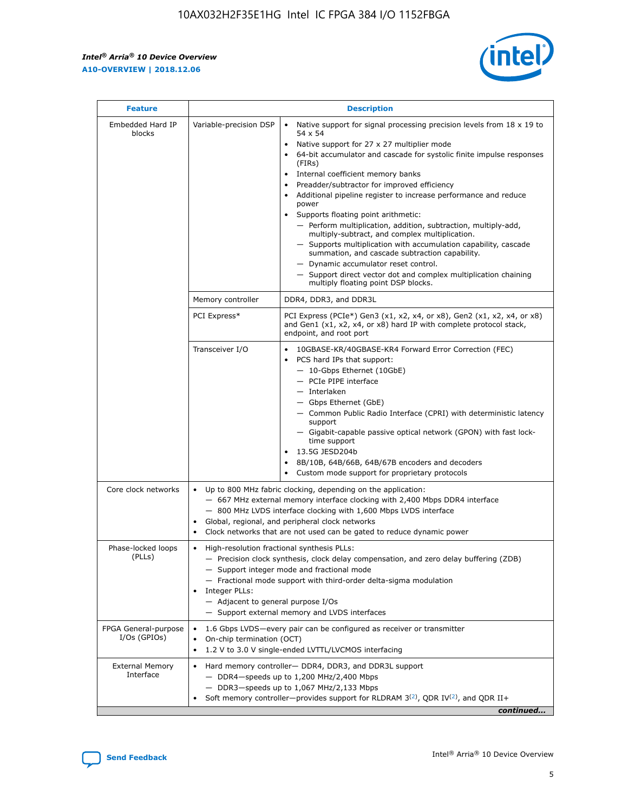r



| <b>Feature</b>                         |                                                                                                                                                                                                                                                                  | <b>Description</b>                                                                                                                                                                                                                                                                                                                                                                                                                                                                                                                                                                                                                                                                                                                                                                                                                                               |  |  |  |  |
|----------------------------------------|------------------------------------------------------------------------------------------------------------------------------------------------------------------------------------------------------------------------------------------------------------------|------------------------------------------------------------------------------------------------------------------------------------------------------------------------------------------------------------------------------------------------------------------------------------------------------------------------------------------------------------------------------------------------------------------------------------------------------------------------------------------------------------------------------------------------------------------------------------------------------------------------------------------------------------------------------------------------------------------------------------------------------------------------------------------------------------------------------------------------------------------|--|--|--|--|
| Embedded Hard IP<br>blocks             | Variable-precision DSP                                                                                                                                                                                                                                           | Native support for signal processing precision levels from $18 \times 19$ to<br>$\bullet$<br>54 x 54<br>Native support for 27 x 27 multiplier mode<br>$\bullet$<br>64-bit accumulator and cascade for systolic finite impulse responses<br>(FIRs)<br>Internal coefficient memory banks<br>$\bullet$<br>Preadder/subtractor for improved efficiency<br>Additional pipeline register to increase performance and reduce<br>power<br>Supports floating point arithmetic:<br>- Perform multiplication, addition, subtraction, multiply-add,<br>multiply-subtract, and complex multiplication.<br>- Supports multiplication with accumulation capability, cascade<br>summation, and cascade subtraction capability.<br>- Dynamic accumulator reset control.<br>- Support direct vector dot and complex multiplication chaining<br>multiply floating point DSP blocks. |  |  |  |  |
|                                        | Memory controller                                                                                                                                                                                                                                                | DDR4, DDR3, and DDR3L                                                                                                                                                                                                                                                                                                                                                                                                                                                                                                                                                                                                                                                                                                                                                                                                                                            |  |  |  |  |
|                                        | PCI Express*                                                                                                                                                                                                                                                     | PCI Express (PCIe*) Gen3 (x1, x2, x4, or x8), Gen2 (x1, x2, x4, or x8)<br>and Gen1 (x1, x2, x4, or x8) hard IP with complete protocol stack,<br>endpoint, and root port                                                                                                                                                                                                                                                                                                                                                                                                                                                                                                                                                                                                                                                                                          |  |  |  |  |
|                                        | Transceiver I/O                                                                                                                                                                                                                                                  | $\bullet$<br>10GBASE-KR/40GBASE-KR4 Forward Error Correction (FEC)<br>PCS hard IPs that support:<br>$\bullet$<br>- 10-Gbps Ethernet (10GbE)<br>- PCIe PIPE interface<br>- Interlaken<br>- Gbps Ethernet (GbE)<br>- Common Public Radio Interface (CPRI) with deterministic latency<br>support<br>- Gigabit-capable passive optical network (GPON) with fast lock-<br>time support<br>13.5G JESD204b<br>$\bullet$<br>8B/10B, 64B/66B, 64B/67B encoders and decoders<br>Custom mode support for proprietary protocols                                                                                                                                                                                                                                                                                                                                              |  |  |  |  |
| Core clock networks                    | ٠<br>٠                                                                                                                                                                                                                                                           | Up to 800 MHz fabric clocking, depending on the application:<br>- 667 MHz external memory interface clocking with 2,400 Mbps DDR4 interface<br>- 800 MHz LVDS interface clocking with 1,600 Mbps LVDS interface<br>Global, regional, and peripheral clock networks<br>Clock networks that are not used can be gated to reduce dynamic power                                                                                                                                                                                                                                                                                                                                                                                                                                                                                                                      |  |  |  |  |
| Phase-locked loops<br>(PLLs)           | High-resolution fractional synthesis PLLs:<br>٠<br>Integer PLLs:<br>- Adjacent to general purpose I/Os                                                                                                                                                           | - Precision clock synthesis, clock delay compensation, and zero delay buffering (ZDB)<br>- Support integer mode and fractional mode<br>- Fractional mode support with third-order delta-sigma modulation<br>- Support external memory and LVDS interfaces                                                                                                                                                                                                                                                                                                                                                                                                                                                                                                                                                                                                        |  |  |  |  |
| FPGA General-purpose<br>$I/Os$ (GPIOs) | On-chip termination (OCT)                                                                                                                                                                                                                                        | 1.6 Gbps LVDS-every pair can be configured as receiver or transmitter<br>1.2 V to 3.0 V single-ended LVTTL/LVCMOS interfacing                                                                                                                                                                                                                                                                                                                                                                                                                                                                                                                                                                                                                                                                                                                                    |  |  |  |  |
| <b>External Memory</b><br>Interface    | Hard memory controller- DDR4, DDR3, and DDR3L support<br>$-$ DDR4 $-$ speeds up to 1,200 MHz/2,400 Mbps<br>- DDR3-speeds up to 1,067 MHz/2,133 Mbps<br>Soft memory controller—provides support for RLDRAM $3^{(2)}$ , QDR IV $^{(2)}$ , and QDR II+<br>continued |                                                                                                                                                                                                                                                                                                                                                                                                                                                                                                                                                                                                                                                                                                                                                                                                                                                                  |  |  |  |  |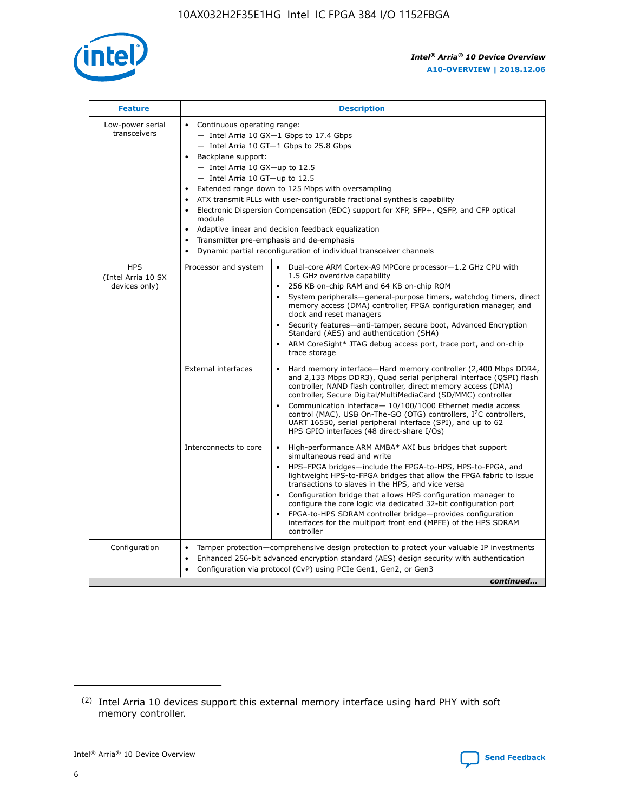

| <b>Feature</b>                                    | <b>Description</b>                                                                                                                                                                                                                                                                                                                                                                                                                                                                                                                                                                                                                                    |  |  |  |  |  |  |  |
|---------------------------------------------------|-------------------------------------------------------------------------------------------------------------------------------------------------------------------------------------------------------------------------------------------------------------------------------------------------------------------------------------------------------------------------------------------------------------------------------------------------------------------------------------------------------------------------------------------------------------------------------------------------------------------------------------------------------|--|--|--|--|--|--|--|
| Low-power serial<br>transceivers                  | • Continuous operating range:<br>- Intel Arria 10 GX-1 Gbps to 17.4 Gbps<br>- Intel Arria 10 GT-1 Gbps to 25.8 Gbps<br>Backplane support:<br>$-$ Intel Arria 10 GX-up to 12.5<br>- Intel Arria 10 GT-up to 12.5<br>Extended range down to 125 Mbps with oversampling<br>ATX transmit PLLs with user-configurable fractional synthesis capability<br>Electronic Dispersion Compensation (EDC) support for XFP, SFP+, QSFP, and CFP optical<br>module<br>Adaptive linear and decision feedback equalization<br>$\bullet$<br>Transmitter pre-emphasis and de-emphasis<br>$\bullet$<br>Dynamic partial reconfiguration of individual transceiver channels |  |  |  |  |  |  |  |
| <b>HPS</b><br>(Intel Arria 10 SX<br>devices only) | • Dual-core ARM Cortex-A9 MPCore processor-1.2 GHz CPU with<br>Processor and system<br>1.5 GHz overdrive capability<br>256 KB on-chip RAM and 64 KB on-chip ROM<br>$\bullet$<br>System peripherals—general-purpose timers, watchdog timers, direct<br>memory access (DMA) controller, FPGA configuration manager, and<br>clock and reset managers<br>Security features—anti-tamper, secure boot, Advanced Encryption<br>$\bullet$<br>Standard (AES) and authentication (SHA)<br>ARM CoreSight* JTAG debug access port, trace port, and on-chip<br>$\bullet$<br>trace storage                                                                          |  |  |  |  |  |  |  |
|                                                   | <b>External interfaces</b><br>Hard memory interface-Hard memory controller (2,400 Mbps DDR4,<br>$\bullet$<br>and 2,133 Mbps DDR3), Quad serial peripheral interface (QSPI) flash<br>controller, NAND flash controller, direct memory access (DMA)<br>controller, Secure Digital/MultiMediaCard (SD/MMC) controller<br>Communication interface-10/100/1000 Ethernet media access<br>$\bullet$<br>control (MAC), USB On-The-GO (OTG) controllers, I <sup>2</sup> C controllers,<br>UART 16550, serial peripheral interface (SPI), and up to 62<br>HPS GPIO interfaces (48 direct-share I/Os)                                                            |  |  |  |  |  |  |  |
|                                                   | High-performance ARM AMBA* AXI bus bridges that support<br>Interconnects to core<br>$\bullet$<br>simultaneous read and write<br>HPS-FPGA bridges-include the FPGA-to-HPS, HPS-to-FPGA, and<br>$\bullet$<br>lightweight HPS-to-FPGA bridges that allow the FPGA fabric to issue<br>transactions to slaves in the HPS, and vice versa<br>Configuration bridge that allows HPS configuration manager to<br>configure the core logic via dedicated 32-bit configuration port<br>FPGA-to-HPS SDRAM controller bridge-provides configuration<br>interfaces for the multiport front end (MPFE) of the HPS SDRAM<br>controller                                |  |  |  |  |  |  |  |
| Configuration                                     | Tamper protection—comprehensive design protection to protect your valuable IP investments<br>Enhanced 256-bit advanced encryption standard (AES) design security with authentication<br>٠<br>Configuration via protocol (CvP) using PCIe Gen1, Gen2, or Gen3<br>continued                                                                                                                                                                                                                                                                                                                                                                             |  |  |  |  |  |  |  |

<sup>(2)</sup> Intel Arria 10 devices support this external memory interface using hard PHY with soft memory controller.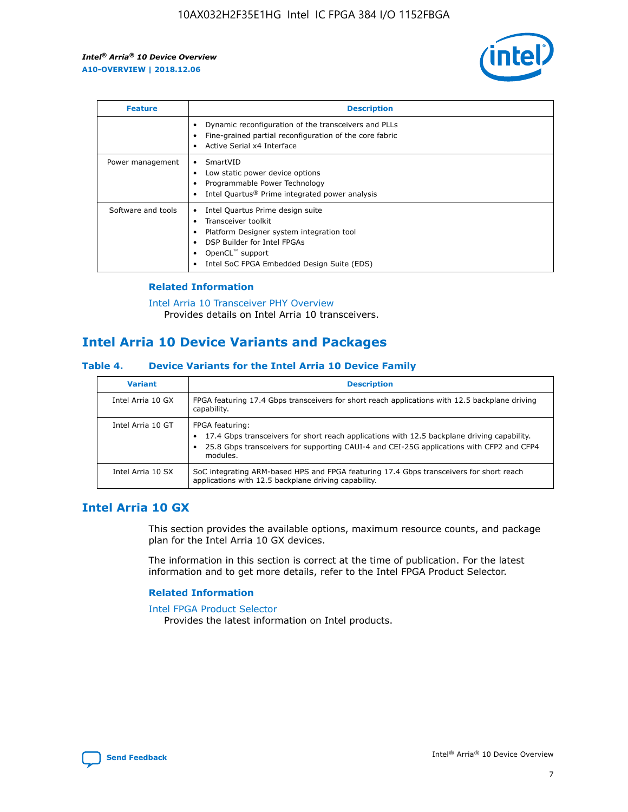

| <b>Feature</b>     | <b>Description</b>                                                                                                                                                                                               |
|--------------------|------------------------------------------------------------------------------------------------------------------------------------------------------------------------------------------------------------------|
|                    | Dynamic reconfiguration of the transceivers and PLLs<br>Fine-grained partial reconfiguration of the core fabric<br>Active Serial x4 Interface<br>$\bullet$                                                       |
| Power management   | SmartVID<br>Low static power device options<br>Programmable Power Technology<br>Intel Quartus <sup>®</sup> Prime integrated power analysis                                                                       |
| Software and tools | Intel Quartus Prime design suite<br>Transceiver toolkit<br>Platform Designer system integration tool<br>DSP Builder for Intel FPGAs<br>OpenCL <sup>™</sup> support<br>Intel SoC FPGA Embedded Design Suite (EDS) |

## **Related Information**

[Intel Arria 10 Transceiver PHY Overview](https://www.intel.com/content/www/us/en/programmable/documentation/nik1398707230472.html#nik1398706768037) Provides details on Intel Arria 10 transceivers.

## **Intel Arria 10 Device Variants and Packages**

#### **Table 4. Device Variants for the Intel Arria 10 Device Family**

| <b>Variant</b>    | <b>Description</b>                                                                                                                                                                                                     |
|-------------------|------------------------------------------------------------------------------------------------------------------------------------------------------------------------------------------------------------------------|
| Intel Arria 10 GX | FPGA featuring 17.4 Gbps transceivers for short reach applications with 12.5 backplane driving<br>capability.                                                                                                          |
| Intel Arria 10 GT | FPGA featuring:<br>17.4 Gbps transceivers for short reach applications with 12.5 backplane driving capability.<br>25.8 Gbps transceivers for supporting CAUI-4 and CEI-25G applications with CFP2 and CFP4<br>modules. |
| Intel Arria 10 SX | SoC integrating ARM-based HPS and FPGA featuring 17.4 Gbps transceivers for short reach<br>applications with 12.5 backplane driving capability.                                                                        |

## **Intel Arria 10 GX**

This section provides the available options, maximum resource counts, and package plan for the Intel Arria 10 GX devices.

The information in this section is correct at the time of publication. For the latest information and to get more details, refer to the Intel FPGA Product Selector.

#### **Related Information**

#### [Intel FPGA Product Selector](http://www.altera.com/products/selector/psg-selector.html) Provides the latest information on Intel products.

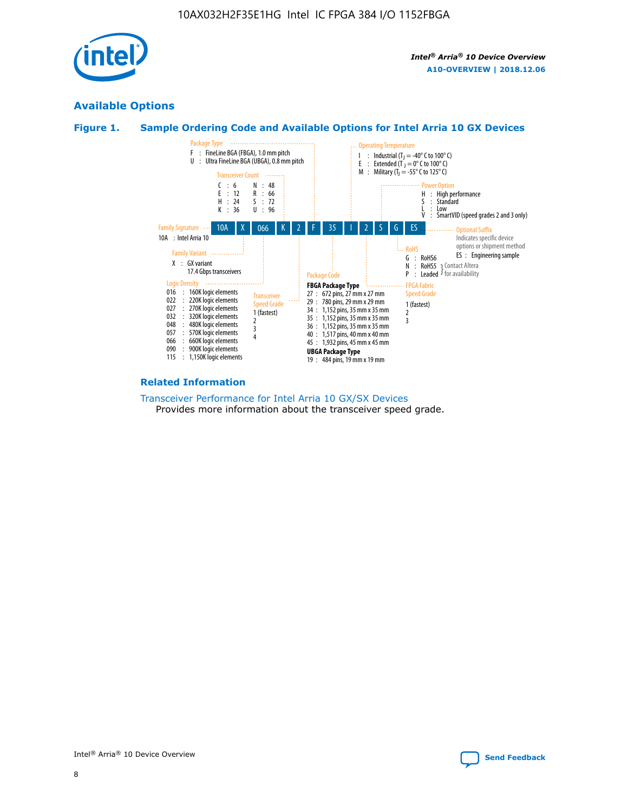

## **Available Options**





#### **Related Information**

[Transceiver Performance for Intel Arria 10 GX/SX Devices](https://www.intel.com/content/www/us/en/programmable/documentation/mcn1413182292568.html#mcn1413213965502) Provides more information about the transceiver speed grade.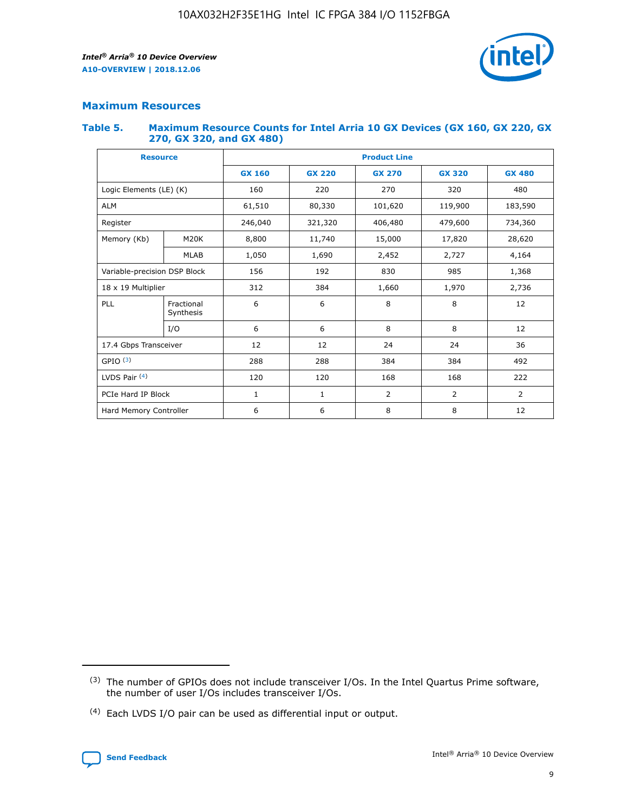

## **Maximum Resources**

#### **Table 5. Maximum Resource Counts for Intel Arria 10 GX Devices (GX 160, GX 220, GX 270, GX 320, and GX 480)**

| <b>Resource</b>              |                         | <b>Product Line</b> |                                                 |                |                |                |  |  |  |
|------------------------------|-------------------------|---------------------|-------------------------------------------------|----------------|----------------|----------------|--|--|--|
|                              |                         | <b>GX 160</b>       | <b>GX 220</b><br><b>GX 270</b><br><b>GX 320</b> |                |                | <b>GX 480</b>  |  |  |  |
| Logic Elements (LE) (K)      |                         | 160                 | 220                                             | 270            | 320            | 480            |  |  |  |
| <b>ALM</b>                   |                         | 61,510              | 80,330                                          | 101,620        | 119,900        | 183,590        |  |  |  |
| Register                     |                         | 246,040             | 406,480<br>321,320                              |                | 479,600        | 734,360        |  |  |  |
| Memory (Kb)                  | M <sub>20</sub> K       | 8,800               | 11,740                                          | 15,000         | 17,820         | 28,620         |  |  |  |
|                              | <b>MLAB</b>             | 1,050               | 1,690<br>2,452                                  |                | 2,727          | 4,164          |  |  |  |
| Variable-precision DSP Block |                         | 156                 | 192                                             | 830            | 985            | 1,368          |  |  |  |
| 18 x 19 Multiplier           |                         | 312                 | 384                                             | 1,970<br>1,660 |                | 2,736          |  |  |  |
| PLL                          | Fractional<br>Synthesis | 6                   | 6                                               | 8              | 8              | 12             |  |  |  |
|                              | I/O                     | 6                   | 6                                               | 8              | 8              | 12             |  |  |  |
| 17.4 Gbps Transceiver        |                         | 12                  | 12                                              | 24             | 24             | 36             |  |  |  |
| GPIO <sup>(3)</sup>          |                         | 288                 | 288                                             | 384<br>384     |                | 492            |  |  |  |
| LVDS Pair $(4)$              |                         | 120                 | 120                                             | 168            | 168            | 222            |  |  |  |
| PCIe Hard IP Block           |                         | 1                   | 1                                               | 2              | $\overline{2}$ | $\overline{2}$ |  |  |  |
| Hard Memory Controller       |                         | 6                   | 6                                               | 8              | 8              | 12             |  |  |  |

<sup>(4)</sup> Each LVDS I/O pair can be used as differential input or output.



<sup>(3)</sup> The number of GPIOs does not include transceiver I/Os. In the Intel Quartus Prime software, the number of user I/Os includes transceiver I/Os.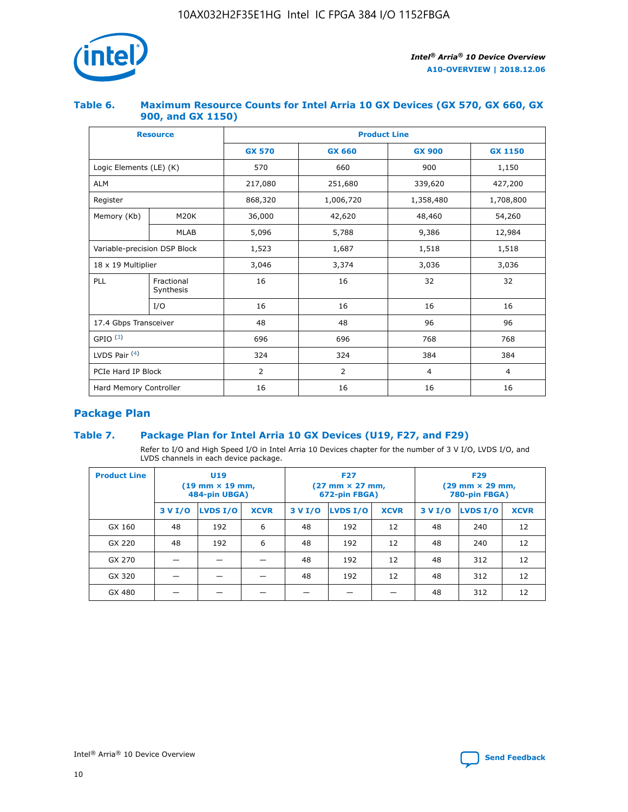

## **Table 6. Maximum Resource Counts for Intel Arria 10 GX Devices (GX 570, GX 660, GX 900, and GX 1150)**

|                              | <b>Resource</b>         | <b>Product Line</b> |                |                |                |  |  |  |
|------------------------------|-------------------------|---------------------|----------------|----------------|----------------|--|--|--|
|                              |                         | <b>GX 570</b>       | <b>GX 660</b>  | <b>GX 900</b>  | <b>GX 1150</b> |  |  |  |
| Logic Elements (LE) (K)      |                         | 570                 | 660            | 900            | 1,150          |  |  |  |
| <b>ALM</b>                   |                         | 217,080             | 251,680        | 339,620        | 427,200        |  |  |  |
| Register                     |                         | 868,320             | 1,006,720      |                | 1,708,800      |  |  |  |
| Memory (Kb)                  | <b>M20K</b>             | 36,000              | 42,620         | 48,460         | 54,260         |  |  |  |
|                              | <b>MLAB</b>             | 5,096               | 5,788          | 9,386          | 12,984         |  |  |  |
| Variable-precision DSP Block |                         | 1,523               | 1,687          | 1,518          | 1,518          |  |  |  |
| $18 \times 19$ Multiplier    |                         | 3,046               | 3,374          | 3,036          | 3,036          |  |  |  |
| PLL                          | Fractional<br>Synthesis | 16                  | 16             | 32             | 32             |  |  |  |
|                              | I/O                     | 16                  | 16             | 16             | 16             |  |  |  |
| 17.4 Gbps Transceiver        |                         | 48                  | 48<br>96       |                | 96             |  |  |  |
| GPIO <sup>(3)</sup>          |                         | 696                 | 696            | 768            | 768            |  |  |  |
| LVDS Pair $(4)$              |                         | 324                 | 324<br>384     |                | 384            |  |  |  |
| PCIe Hard IP Block           |                         | 2                   | $\overline{2}$ | $\overline{4}$ | 4              |  |  |  |
| Hard Memory Controller       |                         | 16                  | 16             | 16             | 16             |  |  |  |

## **Package Plan**

## **Table 7. Package Plan for Intel Arria 10 GX Devices (U19, F27, and F29)**

Refer to I/O and High Speed I/O in Intel Arria 10 Devices chapter for the number of 3 V I/O, LVDS I/O, and LVDS channels in each device package.

| <b>Product Line</b> | U <sub>19</sub><br>$(19 \text{ mm} \times 19 \text{ mm})$<br>484-pin UBGA) |          |             |         | <b>F27</b><br>(27 mm × 27 mm,<br>672-pin FBGA) |             | <b>F29</b><br>(29 mm × 29 mm,<br>780-pin FBGA) |          |             |  |
|---------------------|----------------------------------------------------------------------------|----------|-------------|---------|------------------------------------------------|-------------|------------------------------------------------|----------|-------------|--|
|                     | 3 V I/O                                                                    | LVDS I/O | <b>XCVR</b> | 3 V I/O | <b>LVDS I/O</b>                                | <b>XCVR</b> | 3 V I/O                                        | LVDS I/O | <b>XCVR</b> |  |
| GX 160              | 48                                                                         | 192      | 6           | 48      | 192                                            | 12          | 48                                             | 240      | 12          |  |
| GX 220              | 48                                                                         | 192      | 6           | 48      | 192                                            | 12          | 48                                             | 240      | 12          |  |
| GX 270              |                                                                            |          |             | 48      | 192                                            | 12          | 48                                             | 312      | 12          |  |
| GX 320              |                                                                            |          |             | 48      | 192                                            | 12          | 48                                             | 312      | 12          |  |
| GX 480              |                                                                            |          |             |         |                                                |             | 48                                             | 312      | 12          |  |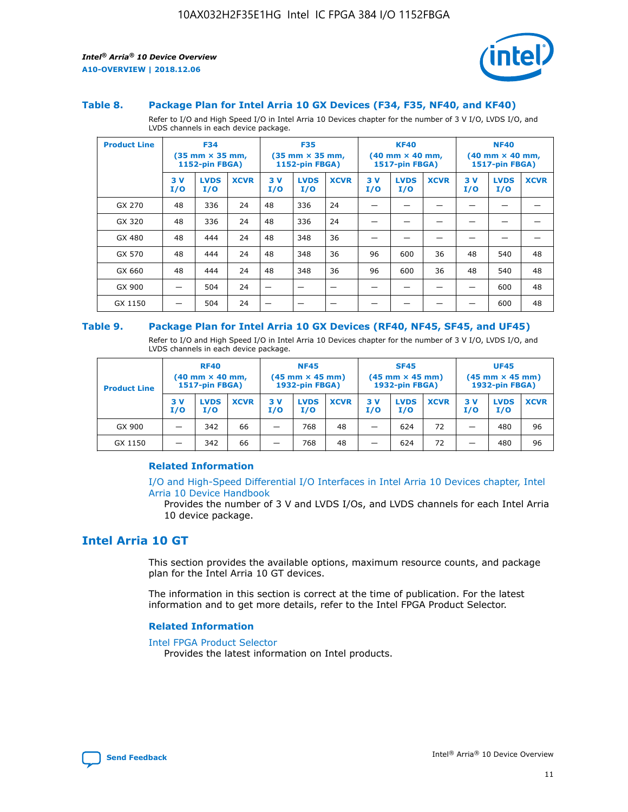



#### **Table 8. Package Plan for Intel Arria 10 GX Devices (F34, F35, NF40, and KF40)**

Refer to I/O and High Speed I/O in Intel Arria 10 Devices chapter for the number of 3 V I/O, LVDS I/O, and LVDS channels in each device package.

| <b>Product Line</b> | <b>F34</b><br>$(35 \text{ mm} \times 35 \text{ mm})$<br><b>1152-pin FBGA)</b> |                    | <b>F35</b><br>$(35 \text{ mm} \times 35 \text{ mm})$<br><b>1152-pin FBGA)</b> |           | <b>KF40</b><br>$(40 \text{ mm} \times 40 \text{ mm})$<br>1517-pin FBGA) |             |           | <b>NF40</b><br>$(40 \text{ mm} \times 40 \text{ mm})$<br>1517-pin FBGA) |             |           |                    |             |
|---------------------|-------------------------------------------------------------------------------|--------------------|-------------------------------------------------------------------------------|-----------|-------------------------------------------------------------------------|-------------|-----------|-------------------------------------------------------------------------|-------------|-----------|--------------------|-------------|
|                     | 3V<br>I/O                                                                     | <b>LVDS</b><br>I/O | <b>XCVR</b>                                                                   | 3V<br>I/O | <b>LVDS</b><br>I/O                                                      | <b>XCVR</b> | 3V<br>I/O | <b>LVDS</b><br>I/O                                                      | <b>XCVR</b> | 3V<br>I/O | <b>LVDS</b><br>I/O | <b>XCVR</b> |
| GX 270              | 48                                                                            | 336                | 24                                                                            | 48        | 336                                                                     | 24          |           |                                                                         |             |           |                    |             |
| GX 320              | 48                                                                            | 336                | 24                                                                            | 48        | 336                                                                     | 24          |           |                                                                         |             |           |                    |             |
| GX 480              | 48                                                                            | 444                | 24                                                                            | 48        | 348                                                                     | 36          |           |                                                                         |             |           |                    |             |
| GX 570              | 48                                                                            | 444                | 24                                                                            | 48        | 348                                                                     | 36          | 96        | 600                                                                     | 36          | 48        | 540                | 48          |
| GX 660              | 48                                                                            | 444                | 24                                                                            | 48        | 348                                                                     | 36          | 96        | 600                                                                     | 36          | 48        | 540                | 48          |
| GX 900              |                                                                               | 504                | 24                                                                            | -         |                                                                         | -           |           |                                                                         |             |           | 600                | 48          |
| GX 1150             |                                                                               | 504                | 24                                                                            |           |                                                                         |             |           |                                                                         |             |           | 600                | 48          |

#### **Table 9. Package Plan for Intel Arria 10 GX Devices (RF40, NF45, SF45, and UF45)**

Refer to I/O and High Speed I/O in Intel Arria 10 Devices chapter for the number of 3 V I/O, LVDS I/O, and LVDS channels in each device package.

| <b>Product Line</b> | <b>RF40</b><br>$(40$ mm $\times$ 40 mm,<br>1517-pin FBGA) |                    |             | <b>NF45</b><br>$(45 \text{ mm} \times 45 \text{ mm})$<br><b>1932-pin FBGA)</b> |                    |             | <b>SF45</b><br>$(45 \text{ mm} \times 45 \text{ mm})$<br><b>1932-pin FBGA)</b> |                    |             | <b>UF45</b><br>$(45 \text{ mm} \times 45 \text{ mm})$<br><b>1932-pin FBGA)</b> |                    |             |
|---------------------|-----------------------------------------------------------|--------------------|-------------|--------------------------------------------------------------------------------|--------------------|-------------|--------------------------------------------------------------------------------|--------------------|-------------|--------------------------------------------------------------------------------|--------------------|-------------|
|                     | 3V<br>I/O                                                 | <b>LVDS</b><br>I/O | <b>XCVR</b> | 3 V<br>I/O                                                                     | <b>LVDS</b><br>I/O | <b>XCVR</b> | 3 V<br>I/O                                                                     | <b>LVDS</b><br>I/O | <b>XCVR</b> | 3V<br>I/O                                                                      | <b>LVDS</b><br>I/O | <b>XCVR</b> |
| GX 900              |                                                           | 342                | 66          | _                                                                              | 768                | 48          |                                                                                | 624                | 72          |                                                                                | 480                | 96          |
| GX 1150             |                                                           | 342                | 66          | _                                                                              | 768                | 48          |                                                                                | 624                | 72          |                                                                                | 480                | 96          |

## **Related Information**

[I/O and High-Speed Differential I/O Interfaces in Intel Arria 10 Devices chapter, Intel](https://www.intel.com/content/www/us/en/programmable/documentation/sam1403482614086.html#sam1403482030321) [Arria 10 Device Handbook](https://www.intel.com/content/www/us/en/programmable/documentation/sam1403482614086.html#sam1403482030321)

Provides the number of 3 V and LVDS I/Os, and LVDS channels for each Intel Arria 10 device package.

## **Intel Arria 10 GT**

This section provides the available options, maximum resource counts, and package plan for the Intel Arria 10 GT devices.

The information in this section is correct at the time of publication. For the latest information and to get more details, refer to the Intel FPGA Product Selector.

#### **Related Information**

#### [Intel FPGA Product Selector](http://www.altera.com/products/selector/psg-selector.html)

Provides the latest information on Intel products.

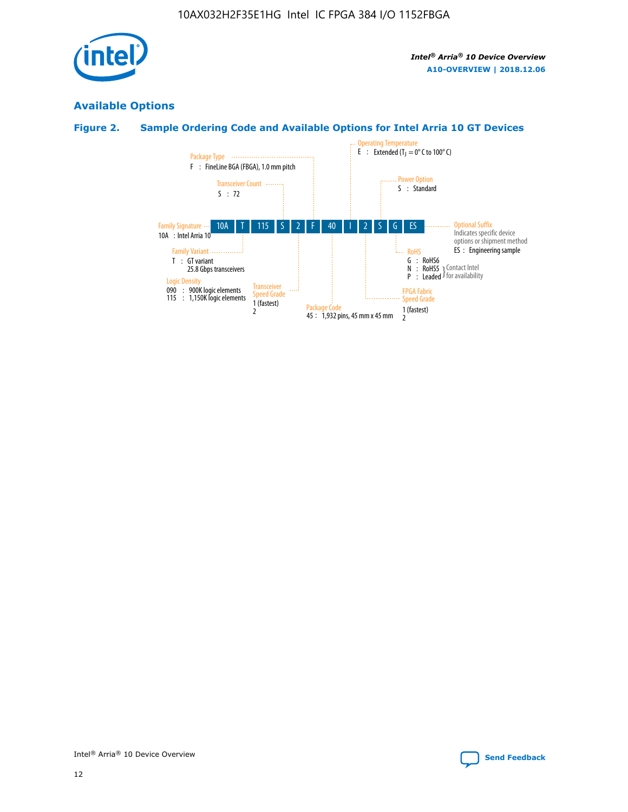

## **Available Options**

## **Figure 2. Sample Ordering Code and Available Options for Intel Arria 10 GT Devices**

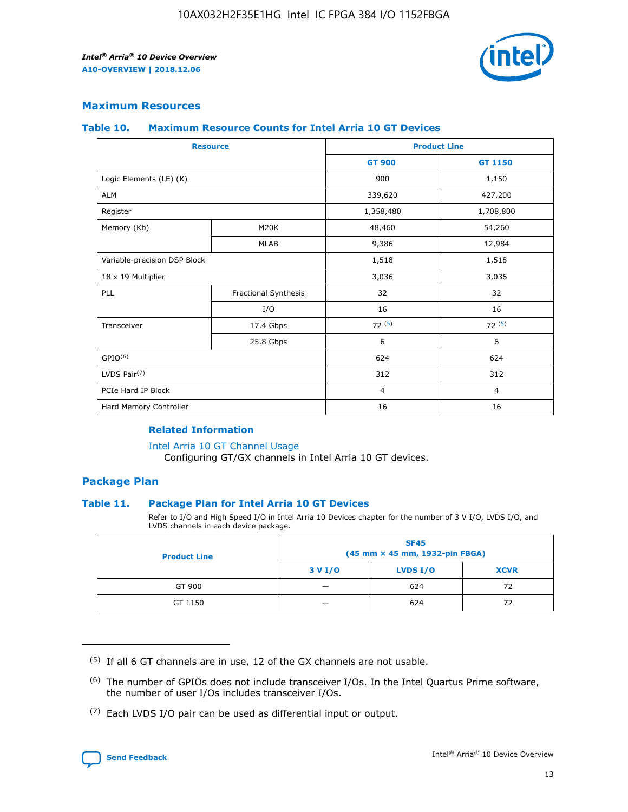

## **Maximum Resources**

#### **Table 10. Maximum Resource Counts for Intel Arria 10 GT Devices**

| <b>Resource</b>              |                      |                | <b>Product Line</b> |  |
|------------------------------|----------------------|----------------|---------------------|--|
|                              |                      | <b>GT 900</b>  | <b>GT 1150</b>      |  |
| Logic Elements (LE) (K)      |                      | 900            | 1,150               |  |
| <b>ALM</b>                   |                      | 339,620        | 427,200             |  |
| Register                     |                      | 1,358,480      | 1,708,800           |  |
| Memory (Kb)                  | M20K                 | 48,460         | 54,260              |  |
|                              | <b>MLAB</b>          | 9,386          | 12,984              |  |
| Variable-precision DSP Block |                      | 1,518          | 1,518               |  |
| 18 x 19 Multiplier           |                      | 3,036          | 3,036               |  |
| PLL                          | Fractional Synthesis | 32             | 32                  |  |
|                              | I/O                  | 16             | 16                  |  |
| Transceiver                  | 17.4 Gbps            | 72(5)          | 72(5)               |  |
|                              | 25.8 Gbps            | 6              | 6                   |  |
| GPIO <sup>(6)</sup>          |                      | 624            | 624                 |  |
| LVDS Pair $(7)$              |                      | 312            | 312                 |  |
| PCIe Hard IP Block           |                      | $\overline{4}$ | $\overline{4}$      |  |
| Hard Memory Controller       |                      | 16             | 16                  |  |

## **Related Information**

#### [Intel Arria 10 GT Channel Usage](https://www.intel.com/content/www/us/en/programmable/documentation/nik1398707230472.html#nik1398707008178)

Configuring GT/GX channels in Intel Arria 10 GT devices.

## **Package Plan**

### **Table 11. Package Plan for Intel Arria 10 GT Devices**

Refer to I/O and High Speed I/O in Intel Arria 10 Devices chapter for the number of 3 V I/O, LVDS I/O, and LVDS channels in each device package.

| <b>Product Line</b> | <b>SF45</b><br>(45 mm × 45 mm, 1932-pin FBGA) |                 |             |  |  |  |
|---------------------|-----------------------------------------------|-----------------|-------------|--|--|--|
|                     | 3 V I/O                                       | <b>LVDS I/O</b> | <b>XCVR</b> |  |  |  |
| GT 900              |                                               | 624             | 72          |  |  |  |
| GT 1150             |                                               | 624             | 72          |  |  |  |

<sup>(7)</sup> Each LVDS I/O pair can be used as differential input or output.



 $(5)$  If all 6 GT channels are in use, 12 of the GX channels are not usable.

<sup>(6)</sup> The number of GPIOs does not include transceiver I/Os. In the Intel Quartus Prime software, the number of user I/Os includes transceiver I/Os.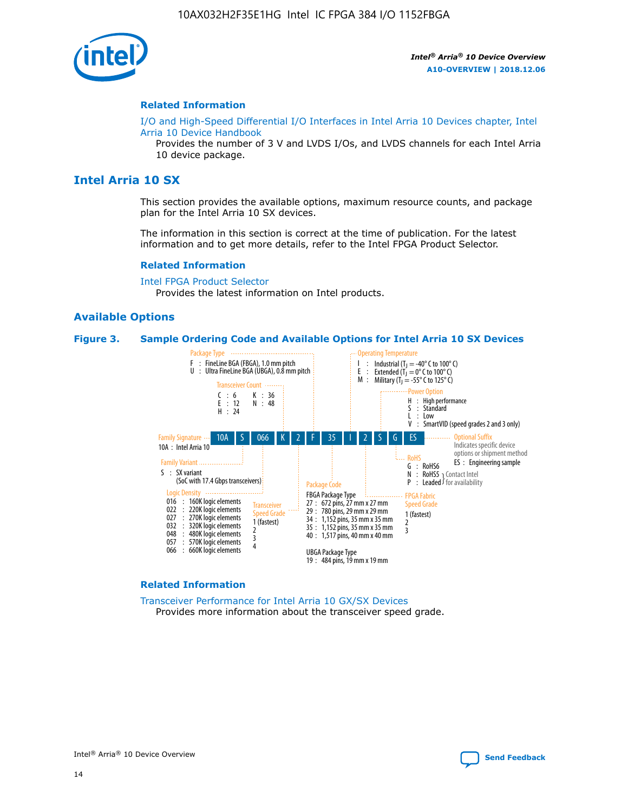

#### **Related Information**

[I/O and High-Speed Differential I/O Interfaces in Intel Arria 10 Devices chapter, Intel](https://www.intel.com/content/www/us/en/programmable/documentation/sam1403482614086.html#sam1403482030321) [Arria 10 Device Handbook](https://www.intel.com/content/www/us/en/programmable/documentation/sam1403482614086.html#sam1403482030321)

Provides the number of 3 V and LVDS I/Os, and LVDS channels for each Intel Arria 10 device package.

## **Intel Arria 10 SX**

This section provides the available options, maximum resource counts, and package plan for the Intel Arria 10 SX devices.

The information in this section is correct at the time of publication. For the latest information and to get more details, refer to the Intel FPGA Product Selector.

#### **Related Information**

[Intel FPGA Product Selector](http://www.altera.com/products/selector/psg-selector.html) Provides the latest information on Intel products.

#### **Available Options**

#### **Figure 3. Sample Ordering Code and Available Options for Intel Arria 10 SX Devices**



#### **Related Information**

[Transceiver Performance for Intel Arria 10 GX/SX Devices](https://www.intel.com/content/www/us/en/programmable/documentation/mcn1413182292568.html#mcn1413213965502) Provides more information about the transceiver speed grade.

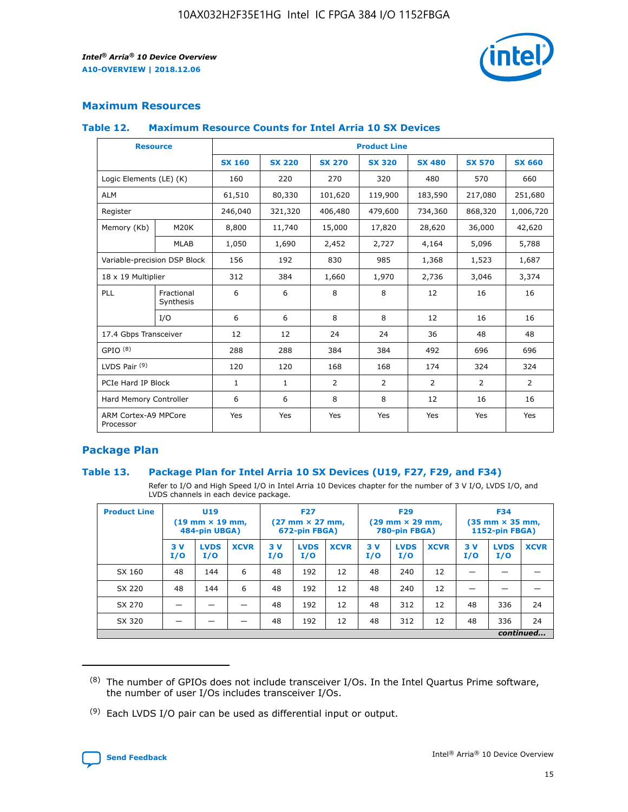

## **Maximum Resources**

#### **Table 12. Maximum Resource Counts for Intel Arria 10 SX Devices**

|                                   | <b>Resource</b>         | <b>Product Line</b> |               |                |                |                |                |                |  |  |  |
|-----------------------------------|-------------------------|---------------------|---------------|----------------|----------------|----------------|----------------|----------------|--|--|--|
|                                   |                         | <b>SX 160</b>       | <b>SX 220</b> | <b>SX 270</b>  | <b>SX 320</b>  | <b>SX 480</b>  | <b>SX 570</b>  | <b>SX 660</b>  |  |  |  |
| Logic Elements (LE) (K)           |                         | 160                 | 220           | 270            | 320            | 480            | 570            | 660            |  |  |  |
| <b>ALM</b>                        |                         | 61,510              | 80,330        | 101,620        | 119,900        | 183,590        | 217,080        | 251,680        |  |  |  |
| Register                          |                         | 246,040             | 321,320       | 406,480        | 479,600        | 734,360        | 868,320        | 1,006,720      |  |  |  |
| Memory (Kb)                       | M <sub>20</sub> K       | 8,800               | 11,740        | 15,000         | 17,820         | 28,620         | 36,000         | 42,620         |  |  |  |
|                                   | <b>MLAB</b>             | 1,050               | 1,690         | 2,452          | 2,727          | 4,164          | 5,096          | 5,788          |  |  |  |
| Variable-precision DSP Block      |                         | 156                 | 192           | 830            | 985            | 1,368          | 1,523          | 1,687          |  |  |  |
| 18 x 19 Multiplier                |                         | 312                 | 384           | 1,660          | 1,970          | 2,736          | 3,046          | 3,374          |  |  |  |
| <b>PLL</b>                        | Fractional<br>Synthesis | 6                   | 6             | 8              | 8              | 12             | 16             | 16             |  |  |  |
|                                   | I/O                     | 6                   | 6             | 8              | 8              | 12             | 16             | 16             |  |  |  |
| 17.4 Gbps Transceiver             |                         | 12                  | 12            | 24             | 24             | 36             | 48             | 48             |  |  |  |
| GPIO <sup>(8)</sup>               |                         | 288                 | 288           | 384            | 384            | 492            | 696            | 696            |  |  |  |
| LVDS Pair $(9)$                   |                         | 120                 | 120           | 168            | 168            | 174            | 324            | 324            |  |  |  |
| PCIe Hard IP Block                |                         | $\mathbf{1}$        | $\mathbf{1}$  | $\overline{2}$ | $\overline{2}$ | $\overline{2}$ | $\overline{2}$ | $\overline{2}$ |  |  |  |
| Hard Memory Controller            |                         | 6                   | 6             | 8              | 8              | 12             | 16             | 16             |  |  |  |
| ARM Cortex-A9 MPCore<br>Processor |                         | Yes                 | Yes           | Yes            | Yes            | Yes            | Yes            | Yes            |  |  |  |

## **Package Plan**

### **Table 13. Package Plan for Intel Arria 10 SX Devices (U19, F27, F29, and F34)**

Refer to I/O and High Speed I/O in Intel Arria 10 Devices chapter for the number of 3 V I/O, LVDS I/O, and LVDS channels in each device package.

| <b>Product Line</b> | <b>U19</b><br>$(19 \text{ mm} \times 19 \text{ mm})$<br>484-pin UBGA) |                    |             | <b>F27</b><br>$(27 \text{ mm} \times 27 \text{ mm})$<br>672-pin FBGA) |                    | <b>F29</b><br>$(29 \text{ mm} \times 29 \text{ mm})$<br>780-pin FBGA) |           |                    | <b>F34</b><br>$(35 \text{ mm} \times 35 \text{ mm})$<br><b>1152-pin FBGA)</b> |           |                    |             |
|---------------------|-----------------------------------------------------------------------|--------------------|-------------|-----------------------------------------------------------------------|--------------------|-----------------------------------------------------------------------|-----------|--------------------|-------------------------------------------------------------------------------|-----------|--------------------|-------------|
|                     | 3V<br>I/O                                                             | <b>LVDS</b><br>I/O | <b>XCVR</b> | 3V<br>I/O                                                             | <b>LVDS</b><br>I/O | <b>XCVR</b>                                                           | 3V<br>I/O | <b>LVDS</b><br>I/O | <b>XCVR</b>                                                                   | 3V<br>I/O | <b>LVDS</b><br>I/O | <b>XCVR</b> |
| SX 160              | 48                                                                    | 144                | 6           | 48                                                                    | 192                | 12                                                                    | 48        | 240                | 12                                                                            | -         |                    |             |
| SX 220              | 48                                                                    | 144                | 6           | 48                                                                    | 192                | 12                                                                    | 48        | 240                | 12                                                                            |           |                    |             |
| SX 270              |                                                                       |                    |             | 48                                                                    | 192                | 12                                                                    | 48        | 312                | 12                                                                            | 48        | 336                | 24          |
| SX 320              |                                                                       |                    |             | 48                                                                    | 192                | 12                                                                    | 48        | 312                | 12                                                                            | 48        | 336                | 24          |
|                     | continued                                                             |                    |             |                                                                       |                    |                                                                       |           |                    |                                                                               |           |                    |             |

 $(8)$  The number of GPIOs does not include transceiver I/Os. In the Intel Quartus Prime software, the number of user I/Os includes transceiver I/Os.

 $(9)$  Each LVDS I/O pair can be used as differential input or output.

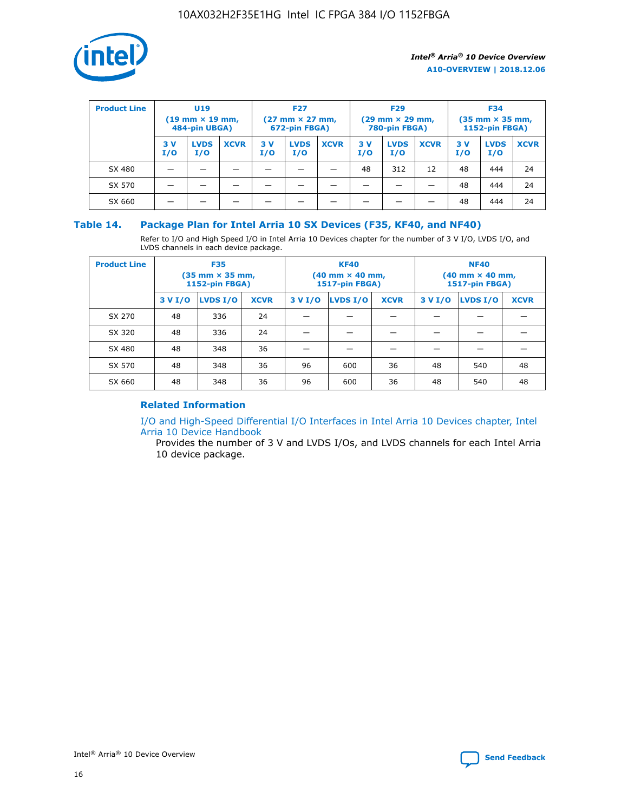

| <b>Product Line</b> | U <sub>19</sub><br>$(19$ mm $\times$ 19 mm,<br>484-pin UBGA) |                    | <b>F27</b><br>$(27 \text{ mm} \times 27 \text{ mm})$<br>672-pin FBGA) |           | <b>F29</b><br>$(29 \text{ mm} \times 29 \text{ mm})$<br>780-pin FBGA) |             |           | <b>F34</b><br>$(35$ mm $\times$ 35 mm,<br><b>1152-pin FBGA)</b> |             |           |                    |             |
|---------------------|--------------------------------------------------------------|--------------------|-----------------------------------------------------------------------|-----------|-----------------------------------------------------------------------|-------------|-----------|-----------------------------------------------------------------|-------------|-----------|--------------------|-------------|
|                     | 3 V<br>I/O                                                   | <b>LVDS</b><br>I/O | <b>XCVR</b>                                                           | 3V<br>I/O | <b>LVDS</b><br>I/O                                                    | <b>XCVR</b> | 3V<br>I/O | <b>LVDS</b><br>I/O                                              | <b>XCVR</b> | 3V<br>I/O | <b>LVDS</b><br>I/O | <b>XCVR</b> |
| SX 480              |                                                              |                    |                                                                       |           |                                                                       |             | 48        | 312                                                             | 12          | 48        | 444                | 24          |
| SX 570              |                                                              |                    |                                                                       |           |                                                                       |             |           |                                                                 |             | 48        | 444                | 24          |
| SX 660              |                                                              |                    |                                                                       |           |                                                                       |             |           |                                                                 |             | 48        | 444                | 24          |

## **Table 14. Package Plan for Intel Arria 10 SX Devices (F35, KF40, and NF40)**

Refer to I/O and High Speed I/O in Intel Arria 10 Devices chapter for the number of 3 V I/O, LVDS I/O, and LVDS channels in each device package.

| <b>Product Line</b> | <b>F35</b><br>(35 mm × 35 mm,<br>1152-pin FBGA) |          |             |                                           | <b>KF40</b><br>(40 mm × 40 mm,<br>1517-pin FBGA) |    | <b>NF40</b><br>(40 mm × 40 mm,<br>1517-pin FBGA) |          |             |  |
|---------------------|-------------------------------------------------|----------|-------------|-------------------------------------------|--------------------------------------------------|----|--------------------------------------------------|----------|-------------|--|
|                     | 3 V I/O                                         | LVDS I/O | <b>XCVR</b> | <b>LVDS I/O</b><br>3 V I/O<br><b>XCVR</b> |                                                  |    | 3 V I/O                                          | LVDS I/O | <b>XCVR</b> |  |
| SX 270              | 48                                              | 336      | 24          |                                           |                                                  |    |                                                  |          |             |  |
| SX 320              | 48                                              | 336      | 24          |                                           |                                                  |    |                                                  |          |             |  |
| SX 480              | 48                                              | 348      | 36          |                                           |                                                  |    |                                                  |          |             |  |
| SX 570              | 48                                              | 348      | 36          | 96                                        | 600                                              | 36 | 48                                               | 540      | 48          |  |
| SX 660              | 48                                              | 348      | 36          | 96                                        | 600                                              | 36 | 48                                               | 540      | 48          |  |

## **Related Information**

[I/O and High-Speed Differential I/O Interfaces in Intel Arria 10 Devices chapter, Intel](https://www.intel.com/content/www/us/en/programmable/documentation/sam1403482614086.html#sam1403482030321) [Arria 10 Device Handbook](https://www.intel.com/content/www/us/en/programmable/documentation/sam1403482614086.html#sam1403482030321)

Provides the number of 3 V and LVDS I/Os, and LVDS channels for each Intel Arria 10 device package.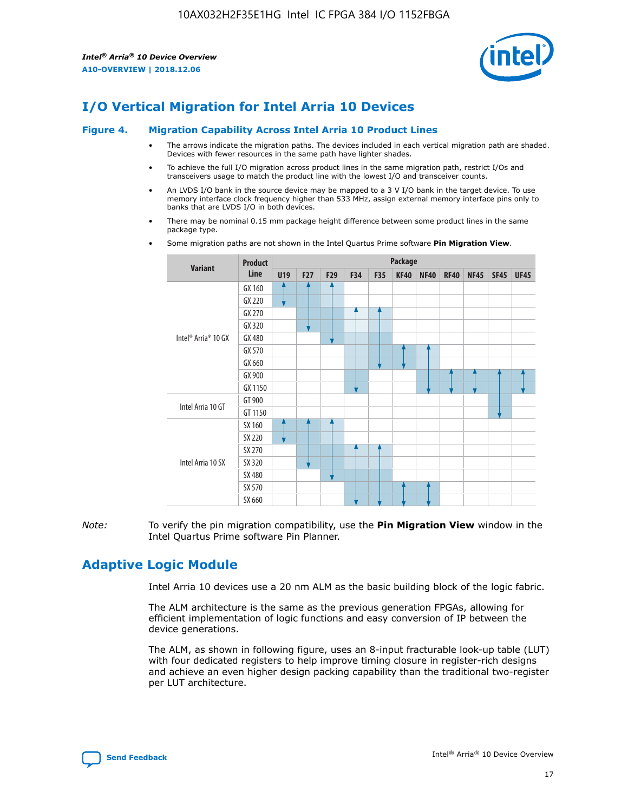

# **I/O Vertical Migration for Intel Arria 10 Devices**

#### **Figure 4. Migration Capability Across Intel Arria 10 Product Lines**

- The arrows indicate the migration paths. The devices included in each vertical migration path are shaded. Devices with fewer resources in the same path have lighter shades.
- To achieve the full I/O migration across product lines in the same migration path, restrict I/Os and transceivers usage to match the product line with the lowest I/O and transceiver counts.
- An LVDS I/O bank in the source device may be mapped to a 3 V I/O bank in the target device. To use memory interface clock frequency higher than 533 MHz, assign external memory interface pins only to banks that are LVDS I/O in both devices.
- There may be nominal 0.15 mm package height difference between some product lines in the same package type.
	- **Variant Product Line Package U19 F27 F29 F34 F35 KF40 NF40 RF40 NF45 SF45 UF45** Intel® Arria® 10 GX GX 160 GX 220 GX 270 GX 320 GX 480 GX 570 GX 660 GX 900 GX 1150 Intel Arria 10 GT GT 900 GT 1150 Intel Arria 10 SX SX 160 SX 220 SX 270 SX 320 SX 480 SX 570 SX 660
- Some migration paths are not shown in the Intel Quartus Prime software **Pin Migration View**.

*Note:* To verify the pin migration compatibility, use the **Pin Migration View** window in the Intel Quartus Prime software Pin Planner.

## **Adaptive Logic Module**

Intel Arria 10 devices use a 20 nm ALM as the basic building block of the logic fabric.

The ALM architecture is the same as the previous generation FPGAs, allowing for efficient implementation of logic functions and easy conversion of IP between the device generations.

The ALM, as shown in following figure, uses an 8-input fracturable look-up table (LUT) with four dedicated registers to help improve timing closure in register-rich designs and achieve an even higher design packing capability than the traditional two-register per LUT architecture.

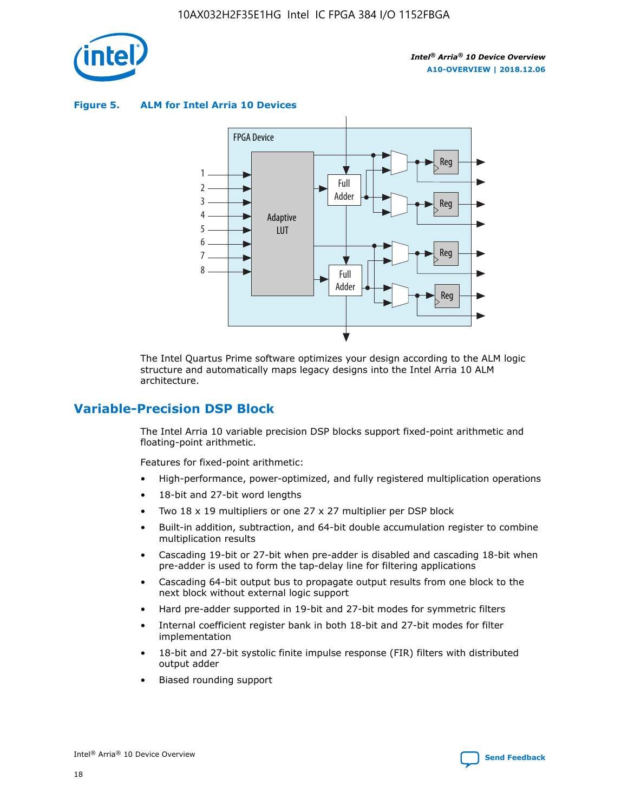

**Figure 5. ALM for Intel Arria 10 Devices**



The Intel Quartus Prime software optimizes your design according to the ALM logic structure and automatically maps legacy designs into the Intel Arria 10 ALM architecture.

## **Variable-Precision DSP Block**

The Intel Arria 10 variable precision DSP blocks support fixed-point arithmetic and floating-point arithmetic.

Features for fixed-point arithmetic:

- High-performance, power-optimized, and fully registered multiplication operations
- 18-bit and 27-bit word lengths
- Two 18 x 19 multipliers or one 27 x 27 multiplier per DSP block
- Built-in addition, subtraction, and 64-bit double accumulation register to combine multiplication results
- Cascading 19-bit or 27-bit when pre-adder is disabled and cascading 18-bit when pre-adder is used to form the tap-delay line for filtering applications
- Cascading 64-bit output bus to propagate output results from one block to the next block without external logic support
- Hard pre-adder supported in 19-bit and 27-bit modes for symmetric filters
- Internal coefficient register bank in both 18-bit and 27-bit modes for filter implementation
- 18-bit and 27-bit systolic finite impulse response (FIR) filters with distributed output adder
- Biased rounding support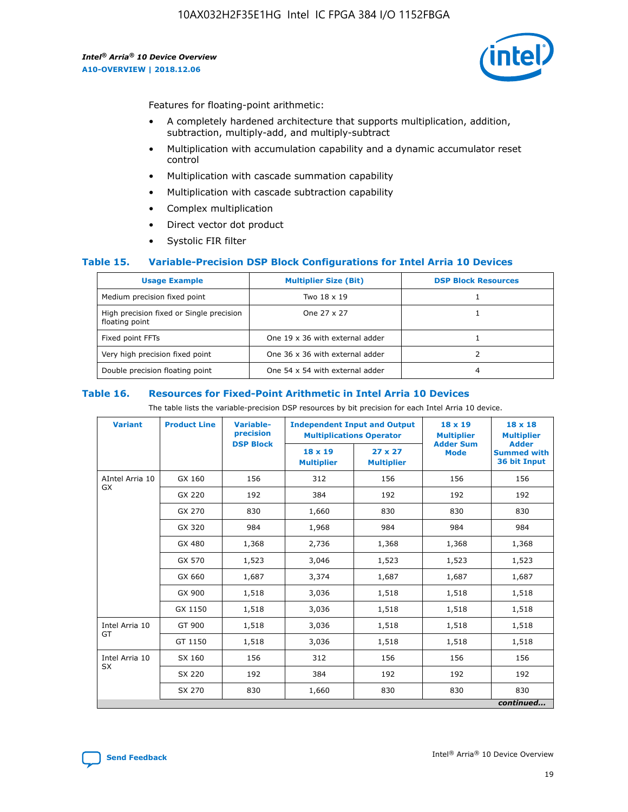

Features for floating-point arithmetic:

- A completely hardened architecture that supports multiplication, addition, subtraction, multiply-add, and multiply-subtract
- Multiplication with accumulation capability and a dynamic accumulator reset control
- Multiplication with cascade summation capability
- Multiplication with cascade subtraction capability
- Complex multiplication
- Direct vector dot product
- Systolic FIR filter

### **Table 15. Variable-Precision DSP Block Configurations for Intel Arria 10 Devices**

| <b>Usage Example</b>                                       | <b>Multiplier Size (Bit)</b>    | <b>DSP Block Resources</b> |
|------------------------------------------------------------|---------------------------------|----------------------------|
| Medium precision fixed point                               | Two 18 x 19                     |                            |
| High precision fixed or Single precision<br>floating point | One 27 x 27                     |                            |
| Fixed point FFTs                                           | One 19 x 36 with external adder |                            |
| Very high precision fixed point                            | One 36 x 36 with external adder |                            |
| Double precision floating point                            | One 54 x 54 with external adder | 4                          |

#### **Table 16. Resources for Fixed-Point Arithmetic in Intel Arria 10 Devices**

The table lists the variable-precision DSP resources by bit precision for each Intel Arria 10 device.

| <b>Variant</b>  | <b>Product Line</b> | Variable-<br>precision<br><b>DSP Block</b> | <b>Independent Input and Output</b><br><b>Multiplications Operator</b> |                                     | 18 x 19<br><b>Multiplier</b><br><b>Adder Sum</b> | $18 \times 18$<br><b>Multiplier</b><br><b>Adder</b> |
|-----------------|---------------------|--------------------------------------------|------------------------------------------------------------------------|-------------------------------------|--------------------------------------------------|-----------------------------------------------------|
|                 |                     |                                            | 18 x 19<br><b>Multiplier</b>                                           | $27 \times 27$<br><b>Multiplier</b> | <b>Mode</b>                                      | <b>Summed with</b><br>36 bit Input                  |
| AIntel Arria 10 | GX 160              | 156                                        | 312                                                                    | 156                                 | 156                                              | 156                                                 |
| GX              | GX 220              | 192                                        | 384                                                                    | 192                                 | 192                                              | 192                                                 |
|                 | GX 270              | 830                                        | 1,660                                                                  | 830                                 | 830                                              | 830                                                 |
|                 | GX 320              | 984                                        | 1,968                                                                  | 984                                 | 984                                              | 984                                                 |
|                 | GX 480              | 1,368                                      | 2,736                                                                  | 1,368                               | 1,368                                            | 1,368                                               |
|                 | GX 570              | 1,523                                      | 3,046                                                                  | 1,523                               | 1,523                                            | 1,523                                               |
|                 | GX 660              | 1,687                                      | 3,374                                                                  | 1,687                               | 1,687                                            | 1,687                                               |
|                 | GX 900              | 1,518                                      | 3,036                                                                  | 1,518                               | 1,518                                            | 1,518                                               |
|                 | GX 1150             | 1,518                                      | 3,036                                                                  | 1,518                               | 1,518                                            | 1,518                                               |
| Intel Arria 10  | GT 900              | 1,518                                      | 3,036                                                                  | 1,518                               | 1,518                                            | 1,518                                               |
| GT              | GT 1150             | 1,518                                      | 3,036                                                                  | 1,518                               | 1,518                                            | 1,518                                               |
| Intel Arria 10  | SX 160              | 156                                        | 312                                                                    | 156                                 | 156                                              | 156                                                 |
| <b>SX</b>       | SX 220              | 192                                        | 384                                                                    | 192                                 | 192                                              | 192                                                 |
|                 | SX 270              | 830                                        | 1,660                                                                  | 830                                 | 830                                              | 830                                                 |
|                 |                     |                                            |                                                                        |                                     |                                                  | continued                                           |

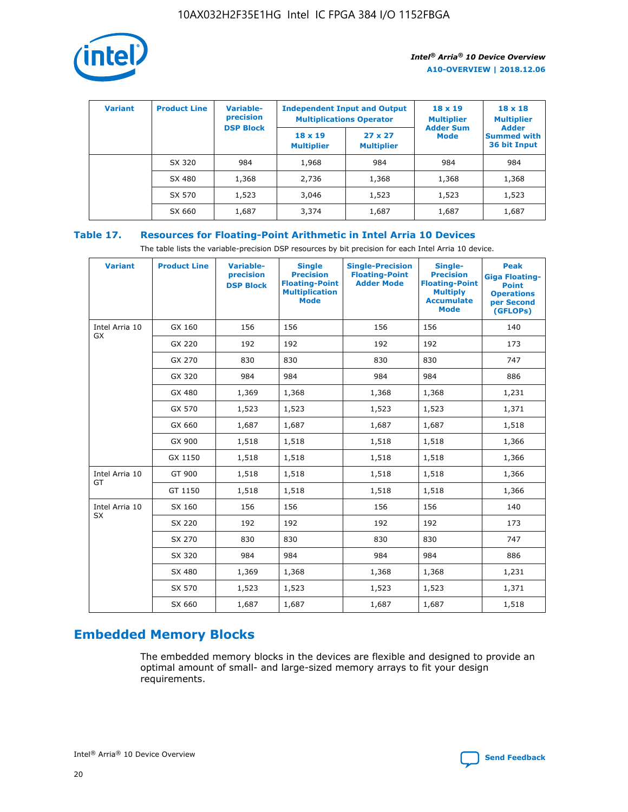

| <b>Variant</b> | <b>Product Line</b> | <b>Variable-</b><br>precision |                                     | <b>Independent Input and Output</b><br><b>Multiplications Operator</b> | $18 \times 19$<br><b>Multiplier</b> | $18 \times 18$<br><b>Multiplier</b><br><b>Adder</b> |  |
|----------------|---------------------|-------------------------------|-------------------------------------|------------------------------------------------------------------------|-------------------------------------|-----------------------------------------------------|--|
|                |                     | <b>DSP Block</b>              | $18 \times 19$<br><b>Multiplier</b> | $27 \times 27$<br><b>Multiplier</b>                                    | <b>Adder Sum</b><br><b>Mode</b>     | <b>Summed with</b><br>36 bit Input                  |  |
|                | SX 320              | 984                           | 1,968                               | 984                                                                    | 984                                 | 984                                                 |  |
|                | SX 480              | 1,368                         | 2,736                               | 1,368                                                                  | 1,368                               | 1,368                                               |  |
|                | SX 570              | 1,523                         | 3,046                               | 1,523                                                                  | 1,523                               | 1,523                                               |  |
|                | SX 660              | 1,687                         | 3,374                               | 1,687                                                                  | 1,687                               | 1,687                                               |  |

## **Table 17. Resources for Floating-Point Arithmetic in Intel Arria 10 Devices**

The table lists the variable-precision DSP resources by bit precision for each Intel Arria 10 device.

| <b>Variant</b> | <b>Product Line</b> | <b>Variable-</b><br>precision<br><b>DSP Block</b> | <b>Single</b><br><b>Precision</b><br><b>Floating-Point</b><br><b>Multiplication</b><br><b>Mode</b> | <b>Single-Precision</b><br><b>Floating-Point</b><br><b>Adder Mode</b> | Single-<br><b>Precision</b><br><b>Floating-Point</b><br><b>Multiply</b><br><b>Accumulate</b><br><b>Mode</b> | <b>Peak</b><br><b>Giga Floating-</b><br><b>Point</b><br><b>Operations</b><br>per Second<br>(GFLOPs) |
|----------------|---------------------|---------------------------------------------------|----------------------------------------------------------------------------------------------------|-----------------------------------------------------------------------|-------------------------------------------------------------------------------------------------------------|-----------------------------------------------------------------------------------------------------|
| Intel Arria 10 | GX 160              | 156                                               | 156                                                                                                | 156                                                                   | 156                                                                                                         | 140                                                                                                 |
| GX             | GX 220              | 192                                               | 192                                                                                                | 192                                                                   | 192                                                                                                         | 173                                                                                                 |
|                | GX 270              | 830                                               | 830                                                                                                | 830                                                                   | 830                                                                                                         | 747                                                                                                 |
|                | GX 320              | 984                                               | 984                                                                                                | 984                                                                   | 984                                                                                                         | 886                                                                                                 |
|                | GX 480              | 1,369                                             | 1,368                                                                                              | 1,368                                                                 | 1,368                                                                                                       | 1,231                                                                                               |
|                | GX 570              | 1,523                                             | 1,523                                                                                              | 1,523                                                                 | 1,523                                                                                                       | 1,371                                                                                               |
|                | GX 660              | 1,687                                             | 1,687                                                                                              | 1,687                                                                 | 1,687                                                                                                       | 1,518                                                                                               |
|                | GX 900              | 1,518                                             | 1,518                                                                                              | 1,518                                                                 | 1,518                                                                                                       | 1,366                                                                                               |
|                | GX 1150             | 1,518                                             | 1,518                                                                                              | 1,518                                                                 | 1,518                                                                                                       | 1,366                                                                                               |
| Intel Arria 10 | GT 900              | 1,518                                             | 1,518                                                                                              | 1,518                                                                 | 1,518                                                                                                       | 1,366                                                                                               |
| GT             | GT 1150             | 1,518                                             | 1,518                                                                                              | 1,518                                                                 | 1,518                                                                                                       | 1,366                                                                                               |
| Intel Arria 10 | SX 160              | 156                                               | 156                                                                                                | 156                                                                   | 156                                                                                                         | 140                                                                                                 |
| <b>SX</b>      | SX 220              | 192                                               | 192                                                                                                | 192                                                                   | 192                                                                                                         | 173                                                                                                 |
|                | SX 270              | 830                                               | 830                                                                                                | 830                                                                   | 830                                                                                                         | 747                                                                                                 |
|                | SX 320              | 984                                               | 984                                                                                                | 984                                                                   | 984                                                                                                         | 886                                                                                                 |
|                | SX 480              | 1,369                                             | 1,368                                                                                              | 1,368                                                                 | 1,368                                                                                                       | 1,231                                                                                               |
|                | SX 570              | 1,523                                             | 1,523                                                                                              | 1,523                                                                 | 1,523                                                                                                       | 1,371                                                                                               |
|                | SX 660              | 1,687                                             | 1,687                                                                                              | 1,687                                                                 | 1,687                                                                                                       | 1,518                                                                                               |

# **Embedded Memory Blocks**

The embedded memory blocks in the devices are flexible and designed to provide an optimal amount of small- and large-sized memory arrays to fit your design requirements.

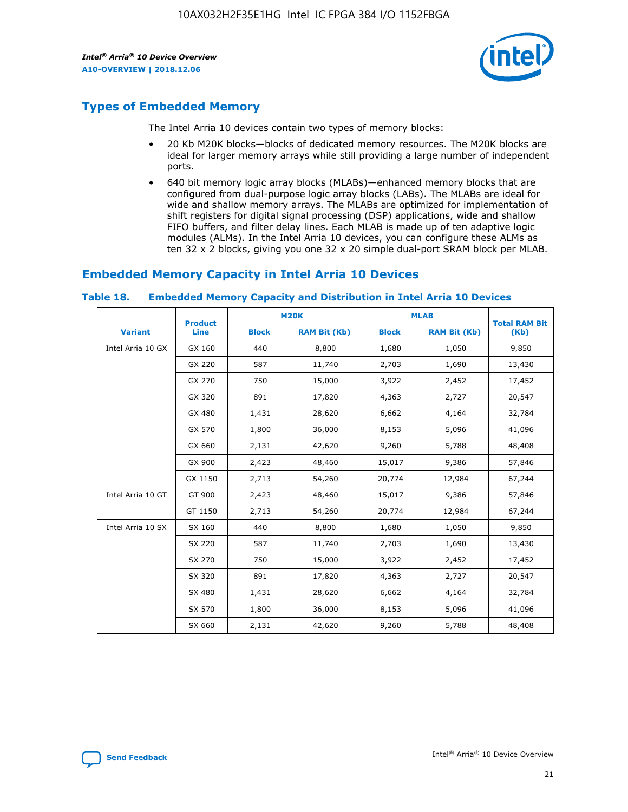

## **Types of Embedded Memory**

The Intel Arria 10 devices contain two types of memory blocks:

- 20 Kb M20K blocks—blocks of dedicated memory resources. The M20K blocks are ideal for larger memory arrays while still providing a large number of independent ports.
- 640 bit memory logic array blocks (MLABs)—enhanced memory blocks that are configured from dual-purpose logic array blocks (LABs). The MLABs are ideal for wide and shallow memory arrays. The MLABs are optimized for implementation of shift registers for digital signal processing (DSP) applications, wide and shallow FIFO buffers, and filter delay lines. Each MLAB is made up of ten adaptive logic modules (ALMs). In the Intel Arria 10 devices, you can configure these ALMs as ten 32 x 2 blocks, giving you one 32 x 20 simple dual-port SRAM block per MLAB.

## **Embedded Memory Capacity in Intel Arria 10 Devices**

|                   | <b>Product</b> |              | <b>M20K</b>         | <b>MLAB</b>  |                     | <b>Total RAM Bit</b> |
|-------------------|----------------|--------------|---------------------|--------------|---------------------|----------------------|
| <b>Variant</b>    | Line           | <b>Block</b> | <b>RAM Bit (Kb)</b> | <b>Block</b> | <b>RAM Bit (Kb)</b> | (Kb)                 |
| Intel Arria 10 GX | GX 160         | 440          | 8,800               | 1,680        | 1,050               | 9,850                |
|                   | GX 220         | 587          | 11,740              | 2,703        | 1,690               | 13,430               |
|                   | GX 270         | 750          | 15,000              | 3,922        | 2,452               | 17,452               |
|                   | GX 320         | 891          | 17,820              | 4,363        | 2,727               | 20,547               |
|                   | GX 480         | 1,431        | 28,620              | 6,662        | 4,164               | 32,784               |
|                   | GX 570         | 1,800        | 36,000              | 8,153        | 5,096               | 41,096               |
|                   | GX 660         | 2,131        | 42,620              | 9,260        | 5,788               | 48,408               |
|                   | GX 900         | 2,423        | 48,460              | 15,017       | 9,386               | 57,846               |
|                   | GX 1150        | 2,713        | 54,260              | 20,774       | 12,984              | 67,244               |
| Intel Arria 10 GT | GT 900         | 2,423        | 48,460              | 15,017       | 9,386               | 57,846               |
|                   | GT 1150        | 2,713        | 54,260              | 20,774       | 12,984              | 67,244               |
| Intel Arria 10 SX | SX 160         | 440          | 8,800               | 1,680        | 1,050               | 9,850                |
|                   | SX 220         | 587          | 11,740              | 2,703        | 1,690               | 13,430               |
|                   | SX 270         | 750          | 15,000              | 3,922        | 2,452               | 17,452               |
|                   | SX 320         | 891          | 17,820              | 4,363        | 2,727               | 20,547               |
|                   | SX 480         | 1,431        | 28,620              | 6,662        | 4,164               | 32,784               |
|                   | SX 570         | 1,800        | 36,000              | 8,153        | 5,096               | 41,096               |
|                   | SX 660         | 2,131        | 42,620              | 9,260        | 5,788               | 48,408               |

#### **Table 18. Embedded Memory Capacity and Distribution in Intel Arria 10 Devices**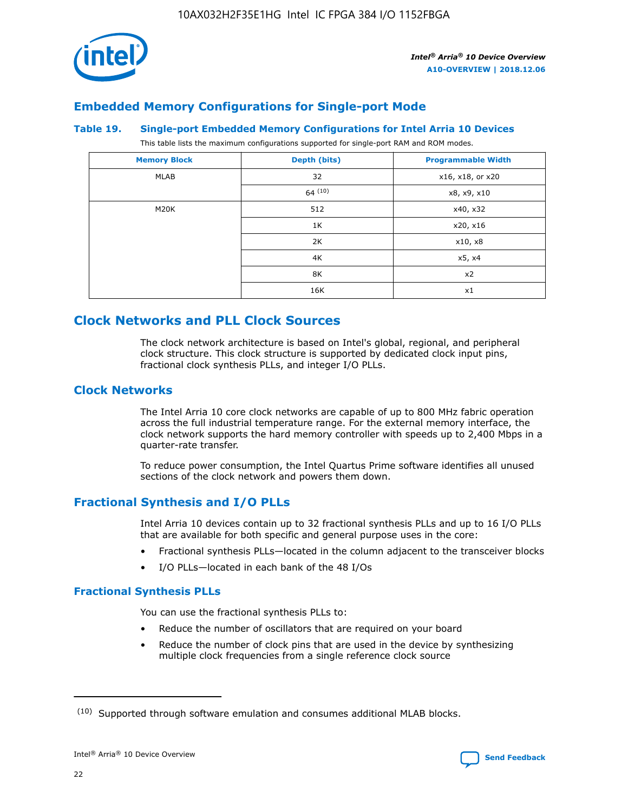

## **Embedded Memory Configurations for Single-port Mode**

#### **Table 19. Single-port Embedded Memory Configurations for Intel Arria 10 Devices**

This table lists the maximum configurations supported for single-port RAM and ROM modes.

| <b>Memory Block</b> | Depth (bits) | <b>Programmable Width</b> |
|---------------------|--------------|---------------------------|
| MLAB                | 32           | x16, x18, or x20          |
|                     | 64(10)       | x8, x9, x10               |
| M20K                | 512          | x40, x32                  |
|                     | 1K           | x20, x16                  |
|                     | 2K           | x10, x8                   |
|                     | 4K           | x5, x4                    |
|                     | 8K           | x2                        |
|                     | 16K          | x1                        |

## **Clock Networks and PLL Clock Sources**

The clock network architecture is based on Intel's global, regional, and peripheral clock structure. This clock structure is supported by dedicated clock input pins, fractional clock synthesis PLLs, and integer I/O PLLs.

## **Clock Networks**

The Intel Arria 10 core clock networks are capable of up to 800 MHz fabric operation across the full industrial temperature range. For the external memory interface, the clock network supports the hard memory controller with speeds up to 2,400 Mbps in a quarter-rate transfer.

To reduce power consumption, the Intel Quartus Prime software identifies all unused sections of the clock network and powers them down.

## **Fractional Synthesis and I/O PLLs**

Intel Arria 10 devices contain up to 32 fractional synthesis PLLs and up to 16 I/O PLLs that are available for both specific and general purpose uses in the core:

- Fractional synthesis PLLs—located in the column adjacent to the transceiver blocks
- I/O PLLs—located in each bank of the 48 I/Os

## **Fractional Synthesis PLLs**

You can use the fractional synthesis PLLs to:

- Reduce the number of oscillators that are required on your board
- Reduce the number of clock pins that are used in the device by synthesizing multiple clock frequencies from a single reference clock source

<sup>(10)</sup> Supported through software emulation and consumes additional MLAB blocks.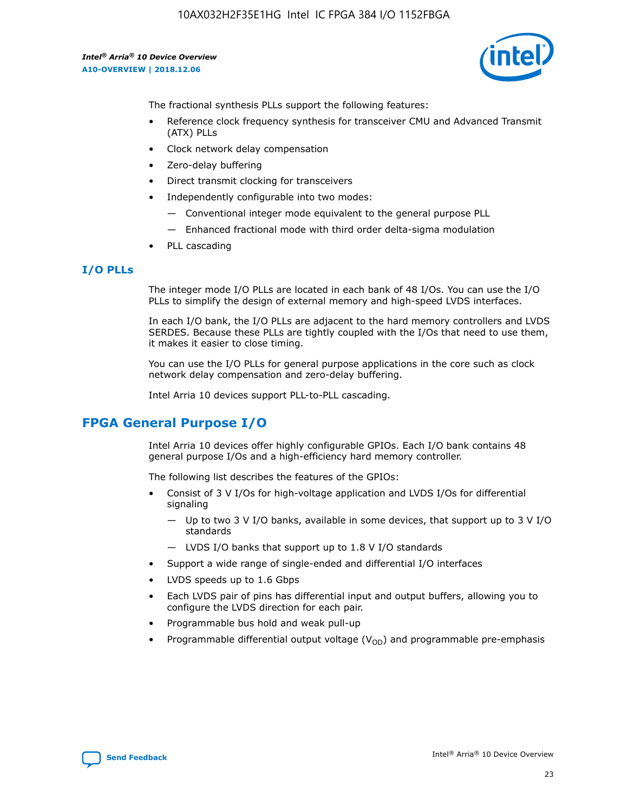

The fractional synthesis PLLs support the following features:

- Reference clock frequency synthesis for transceiver CMU and Advanced Transmit (ATX) PLLs
- Clock network delay compensation
- Zero-delay buffering
- Direct transmit clocking for transceivers
- Independently configurable into two modes:
	- Conventional integer mode equivalent to the general purpose PLL
	- Enhanced fractional mode with third order delta-sigma modulation
- PLL cascading

## **I/O PLLs**

The integer mode I/O PLLs are located in each bank of 48 I/Os. You can use the I/O PLLs to simplify the design of external memory and high-speed LVDS interfaces.

In each I/O bank, the I/O PLLs are adjacent to the hard memory controllers and LVDS SERDES. Because these PLLs are tightly coupled with the I/Os that need to use them, it makes it easier to close timing.

You can use the I/O PLLs for general purpose applications in the core such as clock network delay compensation and zero-delay buffering.

Intel Arria 10 devices support PLL-to-PLL cascading.

## **FPGA General Purpose I/O**

Intel Arria 10 devices offer highly configurable GPIOs. Each I/O bank contains 48 general purpose I/Os and a high-efficiency hard memory controller.

The following list describes the features of the GPIOs:

- Consist of 3 V I/Os for high-voltage application and LVDS I/Os for differential signaling
	- Up to two 3 V I/O banks, available in some devices, that support up to 3 V I/O standards
	- LVDS I/O banks that support up to 1.8 V I/O standards
- Support a wide range of single-ended and differential I/O interfaces
- LVDS speeds up to 1.6 Gbps
- Each LVDS pair of pins has differential input and output buffers, allowing you to configure the LVDS direction for each pair.
- Programmable bus hold and weak pull-up
- Programmable differential output voltage  $(V_{OD})$  and programmable pre-emphasis

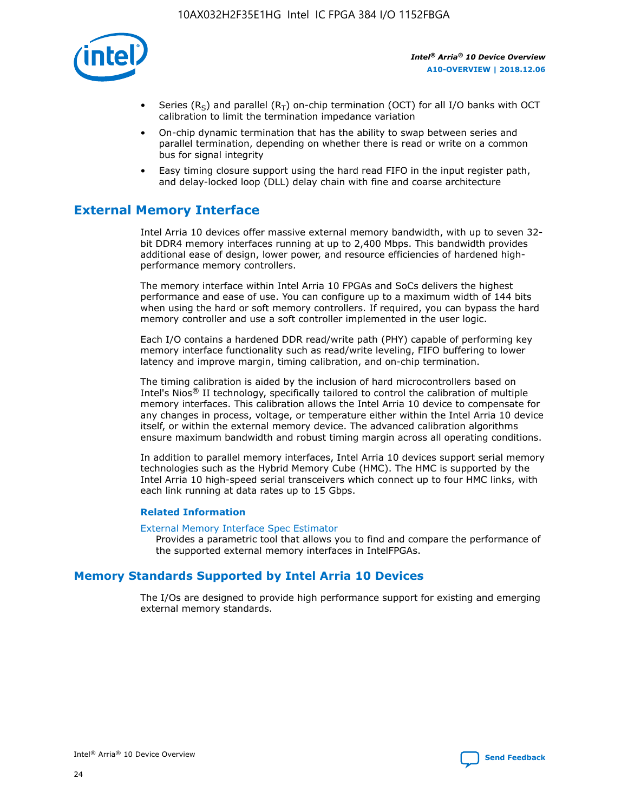

- Series (R<sub>S</sub>) and parallel (R<sub>T</sub>) on-chip termination (OCT) for all I/O banks with OCT calibration to limit the termination impedance variation
- On-chip dynamic termination that has the ability to swap between series and parallel termination, depending on whether there is read or write on a common bus for signal integrity
- Easy timing closure support using the hard read FIFO in the input register path, and delay-locked loop (DLL) delay chain with fine and coarse architecture

## **External Memory Interface**

Intel Arria 10 devices offer massive external memory bandwidth, with up to seven 32 bit DDR4 memory interfaces running at up to 2,400 Mbps. This bandwidth provides additional ease of design, lower power, and resource efficiencies of hardened highperformance memory controllers.

The memory interface within Intel Arria 10 FPGAs and SoCs delivers the highest performance and ease of use. You can configure up to a maximum width of 144 bits when using the hard or soft memory controllers. If required, you can bypass the hard memory controller and use a soft controller implemented in the user logic.

Each I/O contains a hardened DDR read/write path (PHY) capable of performing key memory interface functionality such as read/write leveling, FIFO buffering to lower latency and improve margin, timing calibration, and on-chip termination.

The timing calibration is aided by the inclusion of hard microcontrollers based on Intel's Nios® II technology, specifically tailored to control the calibration of multiple memory interfaces. This calibration allows the Intel Arria 10 device to compensate for any changes in process, voltage, or temperature either within the Intel Arria 10 device itself, or within the external memory device. The advanced calibration algorithms ensure maximum bandwidth and robust timing margin across all operating conditions.

In addition to parallel memory interfaces, Intel Arria 10 devices support serial memory technologies such as the Hybrid Memory Cube (HMC). The HMC is supported by the Intel Arria 10 high-speed serial transceivers which connect up to four HMC links, with each link running at data rates up to 15 Gbps.

### **Related Information**

#### [External Memory Interface Spec Estimator](http://www.altera.com/technology/memory/estimator/mem-emif-index.html)

Provides a parametric tool that allows you to find and compare the performance of the supported external memory interfaces in IntelFPGAs.

## **Memory Standards Supported by Intel Arria 10 Devices**

The I/Os are designed to provide high performance support for existing and emerging external memory standards.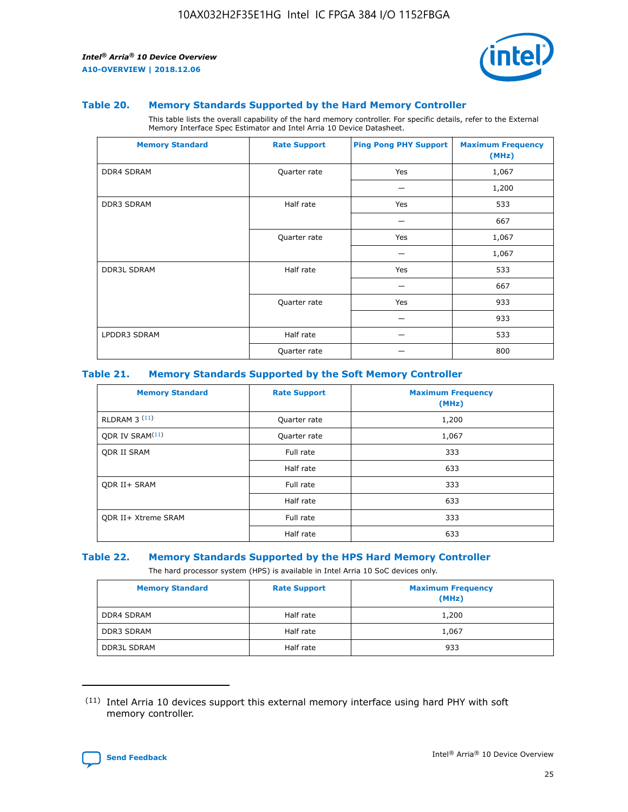

#### **Table 20. Memory Standards Supported by the Hard Memory Controller**

This table lists the overall capability of the hard memory controller. For specific details, refer to the External Memory Interface Spec Estimator and Intel Arria 10 Device Datasheet.

| <b>Memory Standard</b> | <b>Rate Support</b> | <b>Ping Pong PHY Support</b> | <b>Maximum Frequency</b><br>(MHz) |
|------------------------|---------------------|------------------------------|-----------------------------------|
| <b>DDR4 SDRAM</b>      | Quarter rate        | Yes                          | 1,067                             |
|                        |                     |                              | 1,200                             |
| DDR3 SDRAM             | Half rate           | Yes                          | 533                               |
|                        |                     |                              | 667                               |
|                        | Quarter rate        | Yes                          | 1,067                             |
|                        |                     |                              | 1,067                             |
| <b>DDR3L SDRAM</b>     | Half rate           | Yes                          | 533                               |
|                        |                     |                              | 667                               |
|                        | Quarter rate        | Yes                          | 933                               |
|                        |                     |                              | 933                               |
| LPDDR3 SDRAM           | Half rate           |                              | 533                               |
|                        | Quarter rate        |                              | 800                               |

### **Table 21. Memory Standards Supported by the Soft Memory Controller**

| <b>Memory Standard</b>      | <b>Rate Support</b> | <b>Maximum Frequency</b><br>(MHz) |
|-----------------------------|---------------------|-----------------------------------|
| <b>RLDRAM 3 (11)</b>        | Quarter rate        | 1,200                             |
| ODR IV SRAM <sup>(11)</sup> | Quarter rate        | 1,067                             |
| <b>ODR II SRAM</b>          | Full rate           | 333                               |
|                             | Half rate           | 633                               |
| <b>ODR II+ SRAM</b>         | Full rate           | 333                               |
|                             | Half rate           | 633                               |
| <b>ODR II+ Xtreme SRAM</b>  | Full rate           | 333                               |
|                             | Half rate           | 633                               |

#### **Table 22. Memory Standards Supported by the HPS Hard Memory Controller**

The hard processor system (HPS) is available in Intel Arria 10 SoC devices only.

| <b>Memory Standard</b> | <b>Rate Support</b> | <b>Maximum Frequency</b><br>(MHz) |
|------------------------|---------------------|-----------------------------------|
| <b>DDR4 SDRAM</b>      | Half rate           | 1,200                             |
| <b>DDR3 SDRAM</b>      | Half rate           | 1,067                             |
| <b>DDR3L SDRAM</b>     | Half rate           | 933                               |

<sup>(11)</sup> Intel Arria 10 devices support this external memory interface using hard PHY with soft memory controller.

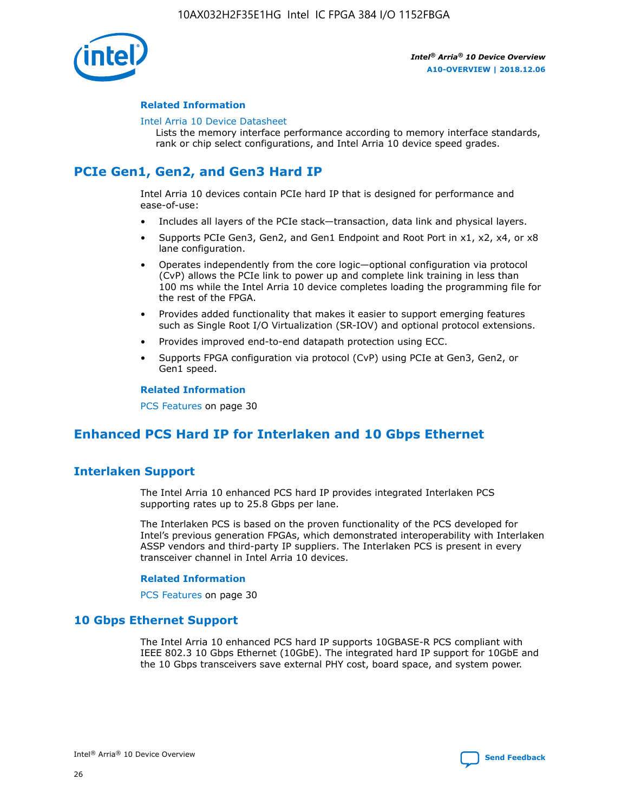

## **Related Information**

#### [Intel Arria 10 Device Datasheet](https://www.intel.com/content/www/us/en/programmable/documentation/mcn1413182292568.html#mcn1413182153340)

Lists the memory interface performance according to memory interface standards, rank or chip select configurations, and Intel Arria 10 device speed grades.

# **PCIe Gen1, Gen2, and Gen3 Hard IP**

Intel Arria 10 devices contain PCIe hard IP that is designed for performance and ease-of-use:

- Includes all layers of the PCIe stack—transaction, data link and physical layers.
- Supports PCIe Gen3, Gen2, and Gen1 Endpoint and Root Port in x1, x2, x4, or x8 lane configuration.
- Operates independently from the core logic—optional configuration via protocol (CvP) allows the PCIe link to power up and complete link training in less than 100 ms while the Intel Arria 10 device completes loading the programming file for the rest of the FPGA.
- Provides added functionality that makes it easier to support emerging features such as Single Root I/O Virtualization (SR-IOV) and optional protocol extensions.
- Provides improved end-to-end datapath protection using ECC.
- Supports FPGA configuration via protocol (CvP) using PCIe at Gen3, Gen2, or Gen1 speed.

#### **Related Information**

PCS Features on page 30

# **Enhanced PCS Hard IP for Interlaken and 10 Gbps Ethernet**

## **Interlaken Support**

The Intel Arria 10 enhanced PCS hard IP provides integrated Interlaken PCS supporting rates up to 25.8 Gbps per lane.

The Interlaken PCS is based on the proven functionality of the PCS developed for Intel's previous generation FPGAs, which demonstrated interoperability with Interlaken ASSP vendors and third-party IP suppliers. The Interlaken PCS is present in every transceiver channel in Intel Arria 10 devices.

### **Related Information**

PCS Features on page 30

## **10 Gbps Ethernet Support**

The Intel Arria 10 enhanced PCS hard IP supports 10GBASE-R PCS compliant with IEEE 802.3 10 Gbps Ethernet (10GbE). The integrated hard IP support for 10GbE and the 10 Gbps transceivers save external PHY cost, board space, and system power.

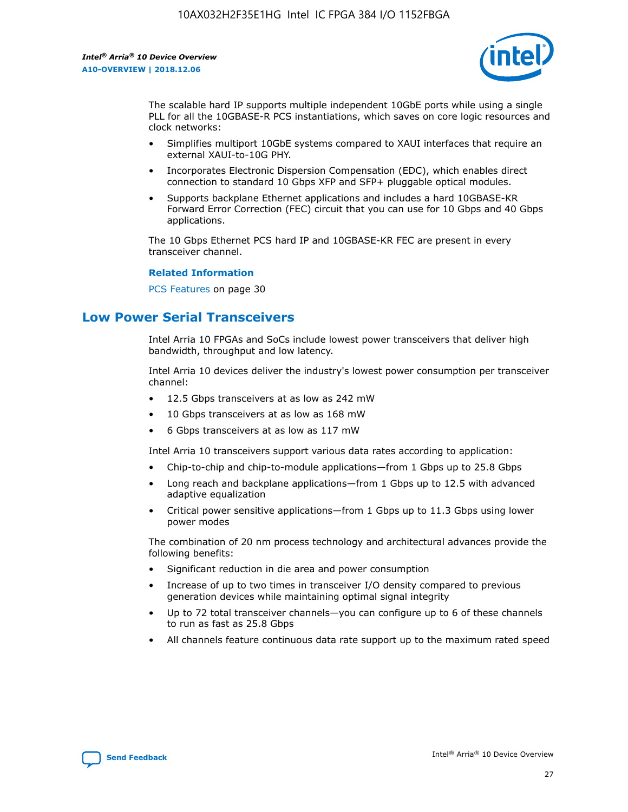

The scalable hard IP supports multiple independent 10GbE ports while using a single PLL for all the 10GBASE-R PCS instantiations, which saves on core logic resources and clock networks:

- Simplifies multiport 10GbE systems compared to XAUI interfaces that require an external XAUI-to-10G PHY.
- Incorporates Electronic Dispersion Compensation (EDC), which enables direct connection to standard 10 Gbps XFP and SFP+ pluggable optical modules.
- Supports backplane Ethernet applications and includes a hard 10GBASE-KR Forward Error Correction (FEC) circuit that you can use for 10 Gbps and 40 Gbps applications.

The 10 Gbps Ethernet PCS hard IP and 10GBASE-KR FEC are present in every transceiver channel.

### **Related Information**

PCS Features on page 30

## **Low Power Serial Transceivers**

Intel Arria 10 FPGAs and SoCs include lowest power transceivers that deliver high bandwidth, throughput and low latency.

Intel Arria 10 devices deliver the industry's lowest power consumption per transceiver channel:

- 12.5 Gbps transceivers at as low as 242 mW
- 10 Gbps transceivers at as low as 168 mW
- 6 Gbps transceivers at as low as 117 mW

Intel Arria 10 transceivers support various data rates according to application:

- Chip-to-chip and chip-to-module applications—from 1 Gbps up to 25.8 Gbps
- Long reach and backplane applications—from 1 Gbps up to 12.5 with advanced adaptive equalization
- Critical power sensitive applications—from 1 Gbps up to 11.3 Gbps using lower power modes

The combination of 20 nm process technology and architectural advances provide the following benefits:

- Significant reduction in die area and power consumption
- Increase of up to two times in transceiver I/O density compared to previous generation devices while maintaining optimal signal integrity
- Up to 72 total transceiver channels—you can configure up to 6 of these channels to run as fast as 25.8 Gbps
- All channels feature continuous data rate support up to the maximum rated speed

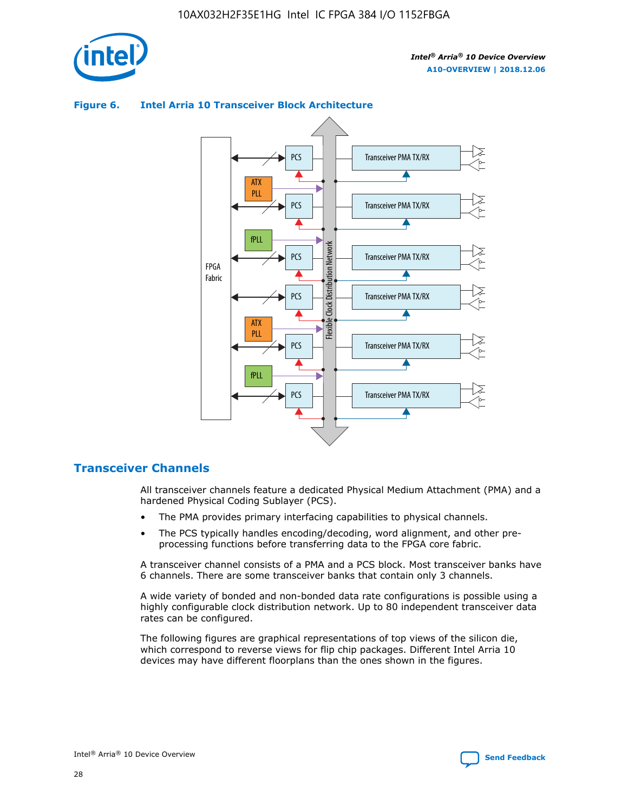



## **Figure 6. Intel Arria 10 Transceiver Block Architecture**

## **Transceiver Channels**

All transceiver channels feature a dedicated Physical Medium Attachment (PMA) and a hardened Physical Coding Sublayer (PCS).

- The PMA provides primary interfacing capabilities to physical channels.
- The PCS typically handles encoding/decoding, word alignment, and other preprocessing functions before transferring data to the FPGA core fabric.

A transceiver channel consists of a PMA and a PCS block. Most transceiver banks have 6 channels. There are some transceiver banks that contain only 3 channels.

A wide variety of bonded and non-bonded data rate configurations is possible using a highly configurable clock distribution network. Up to 80 independent transceiver data rates can be configured.

The following figures are graphical representations of top views of the silicon die, which correspond to reverse views for flip chip packages. Different Intel Arria 10 devices may have different floorplans than the ones shown in the figures.

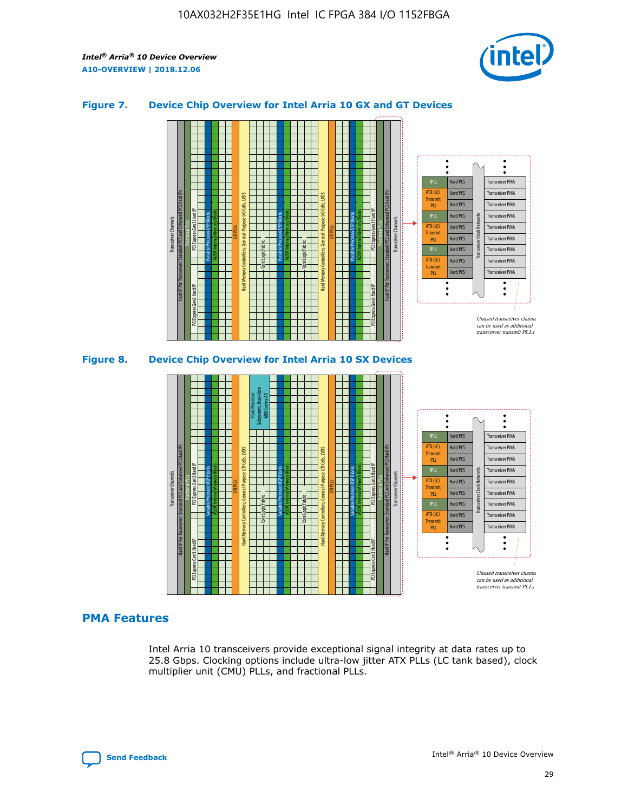

## **Figure 7. Device Chip Overview for Intel Arria 10 GX and GT Devices**





## **PMA Features**

Intel Arria 10 transceivers provide exceptional signal integrity at data rates up to 25.8 Gbps. Clocking options include ultra-low jitter ATX PLLs (LC tank based), clock multiplier unit (CMU) PLLs, and fractional PLLs.

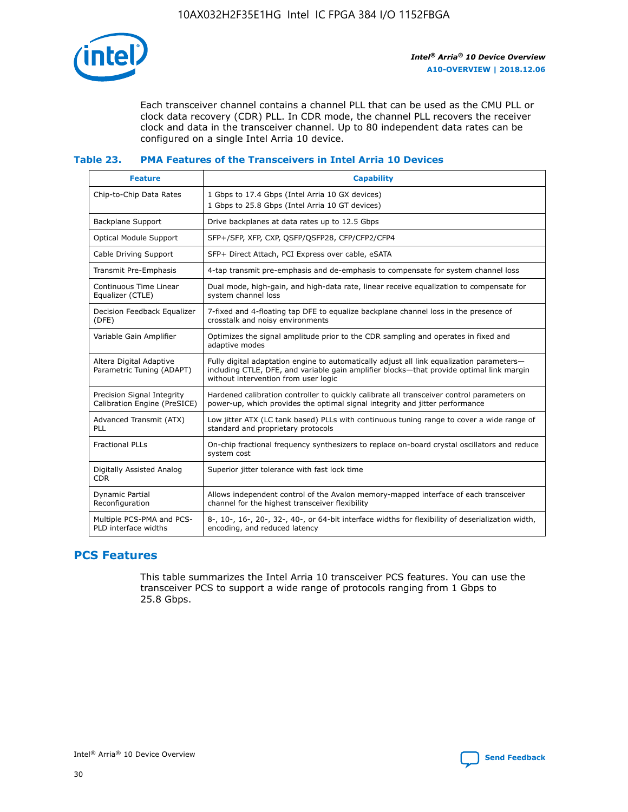

Each transceiver channel contains a channel PLL that can be used as the CMU PLL or clock data recovery (CDR) PLL. In CDR mode, the channel PLL recovers the receiver clock and data in the transceiver channel. Up to 80 independent data rates can be configured on a single Intel Arria 10 device.

## **Table 23. PMA Features of the Transceivers in Intel Arria 10 Devices**

| <b>Feature</b>                                             | <b>Capability</b>                                                                                                                                                                                                             |
|------------------------------------------------------------|-------------------------------------------------------------------------------------------------------------------------------------------------------------------------------------------------------------------------------|
| Chip-to-Chip Data Rates                                    | 1 Gbps to 17.4 Gbps (Intel Arria 10 GX devices)<br>1 Gbps to 25.8 Gbps (Intel Arria 10 GT devices)                                                                                                                            |
| <b>Backplane Support</b>                                   | Drive backplanes at data rates up to 12.5 Gbps                                                                                                                                                                                |
| <b>Optical Module Support</b>                              | SFP+/SFP, XFP, CXP, QSFP/QSFP28, CFP/CFP2/CFP4                                                                                                                                                                                |
| Cable Driving Support                                      | SFP+ Direct Attach, PCI Express over cable, eSATA                                                                                                                                                                             |
| Transmit Pre-Emphasis                                      | 4-tap transmit pre-emphasis and de-emphasis to compensate for system channel loss                                                                                                                                             |
| Continuous Time Linear<br>Equalizer (CTLE)                 | Dual mode, high-gain, and high-data rate, linear receive equalization to compensate for<br>system channel loss                                                                                                                |
| Decision Feedback Equalizer<br>(DFE)                       | 7-fixed and 4-floating tap DFE to equalize backplane channel loss in the presence of<br>crosstalk and noisy environments                                                                                                      |
| Variable Gain Amplifier                                    | Optimizes the signal amplitude prior to the CDR sampling and operates in fixed and<br>adaptive modes                                                                                                                          |
| Altera Digital Adaptive<br>Parametric Tuning (ADAPT)       | Fully digital adaptation engine to automatically adjust all link equalization parameters-<br>including CTLE, DFE, and variable gain amplifier blocks—that provide optimal link margin<br>without intervention from user logic |
| Precision Signal Integrity<br>Calibration Engine (PreSICE) | Hardened calibration controller to quickly calibrate all transceiver control parameters on<br>power-up, which provides the optimal signal integrity and jitter performance                                                    |
| Advanced Transmit (ATX)<br>PLL                             | Low jitter ATX (LC tank based) PLLs with continuous tuning range to cover a wide range of<br>standard and proprietary protocols                                                                                               |
| <b>Fractional PLLs</b>                                     | On-chip fractional frequency synthesizers to replace on-board crystal oscillators and reduce<br>system cost                                                                                                                   |
| Digitally Assisted Analog<br><b>CDR</b>                    | Superior jitter tolerance with fast lock time                                                                                                                                                                                 |
| <b>Dynamic Partial</b><br>Reconfiguration                  | Allows independent control of the Avalon memory-mapped interface of each transceiver<br>channel for the highest transceiver flexibility                                                                                       |
| Multiple PCS-PMA and PCS-<br>PLD interface widths          | 8-, 10-, 16-, 20-, 32-, 40-, or 64-bit interface widths for flexibility of deserialization width,<br>encoding, and reduced latency                                                                                            |

# **PCS Features**

This table summarizes the Intel Arria 10 transceiver PCS features. You can use the transceiver PCS to support a wide range of protocols ranging from 1 Gbps to 25.8 Gbps.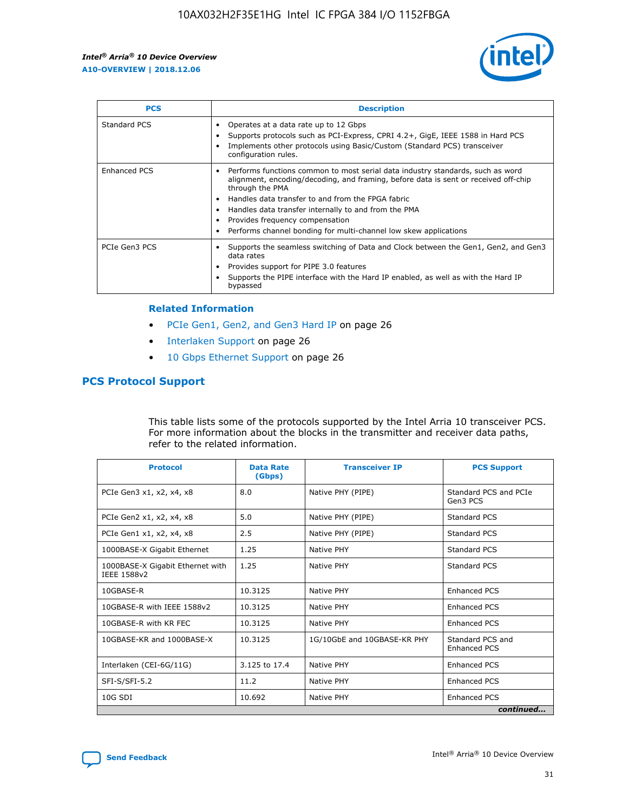

| <b>PCS</b>          | <b>Description</b>                                                                                                                                                                                                                                                                                                                                                                                             |
|---------------------|----------------------------------------------------------------------------------------------------------------------------------------------------------------------------------------------------------------------------------------------------------------------------------------------------------------------------------------------------------------------------------------------------------------|
| Standard PCS        | Operates at a data rate up to 12 Gbps<br>Supports protocols such as PCI-Express, CPRI 4.2+, GigE, IEEE 1588 in Hard PCS<br>Implements other protocols using Basic/Custom (Standard PCS) transceiver<br>configuration rules.                                                                                                                                                                                    |
| <b>Enhanced PCS</b> | Performs functions common to most serial data industry standards, such as word<br>alignment, encoding/decoding, and framing, before data is sent or received off-chip<br>through the PMA<br>• Handles data transfer to and from the FPGA fabric<br>Handles data transfer internally to and from the PMA<br>Provides frequency compensation<br>Performs channel bonding for multi-channel low skew applications |
| PCIe Gen3 PCS       | Supports the seamless switching of Data and Clock between the Gen1, Gen2, and Gen3<br>data rates<br>Provides support for PIPE 3.0 features<br>Supports the PIPE interface with the Hard IP enabled, as well as with the Hard IP<br>bypassed                                                                                                                                                                    |

#### **Related Information**

- PCIe Gen1, Gen2, and Gen3 Hard IP on page 26
- Interlaken Support on page 26
- 10 Gbps Ethernet Support on page 26

## **PCS Protocol Support**

This table lists some of the protocols supported by the Intel Arria 10 transceiver PCS. For more information about the blocks in the transmitter and receiver data paths, refer to the related information.

| <b>Protocol</b>                                 | <b>Data Rate</b><br>(Gbps) | <b>Transceiver IP</b>       | <b>PCS Support</b>                      |
|-------------------------------------------------|----------------------------|-----------------------------|-----------------------------------------|
| PCIe Gen3 x1, x2, x4, x8                        | 8.0                        | Native PHY (PIPE)           | Standard PCS and PCIe<br>Gen3 PCS       |
| PCIe Gen2 x1, x2, x4, x8                        | 5.0                        | Native PHY (PIPE)           | <b>Standard PCS</b>                     |
| PCIe Gen1 x1, x2, x4, x8                        | 2.5                        | Native PHY (PIPE)           | Standard PCS                            |
| 1000BASE-X Gigabit Ethernet                     | 1.25                       | Native PHY                  | <b>Standard PCS</b>                     |
| 1000BASE-X Gigabit Ethernet with<br>IEEE 1588v2 | 1.25                       | Native PHY                  | Standard PCS                            |
| 10GBASE-R                                       | 10.3125                    | Native PHY                  | <b>Enhanced PCS</b>                     |
| 10GBASE-R with IEEE 1588v2                      | 10.3125                    | Native PHY                  | <b>Enhanced PCS</b>                     |
| 10GBASE-R with KR FEC                           | 10.3125                    | Native PHY                  | <b>Enhanced PCS</b>                     |
| 10GBASE-KR and 1000BASE-X                       | 10.3125                    | 1G/10GbE and 10GBASE-KR PHY | Standard PCS and<br><b>Enhanced PCS</b> |
| Interlaken (CEI-6G/11G)                         | 3.125 to 17.4              | Native PHY                  | <b>Enhanced PCS</b>                     |
| SFI-S/SFI-5.2                                   | 11.2                       | Native PHY                  | <b>Enhanced PCS</b>                     |
| $10G$ SDI                                       | 10.692                     | Native PHY                  | <b>Enhanced PCS</b>                     |
|                                                 |                            |                             | continued                               |

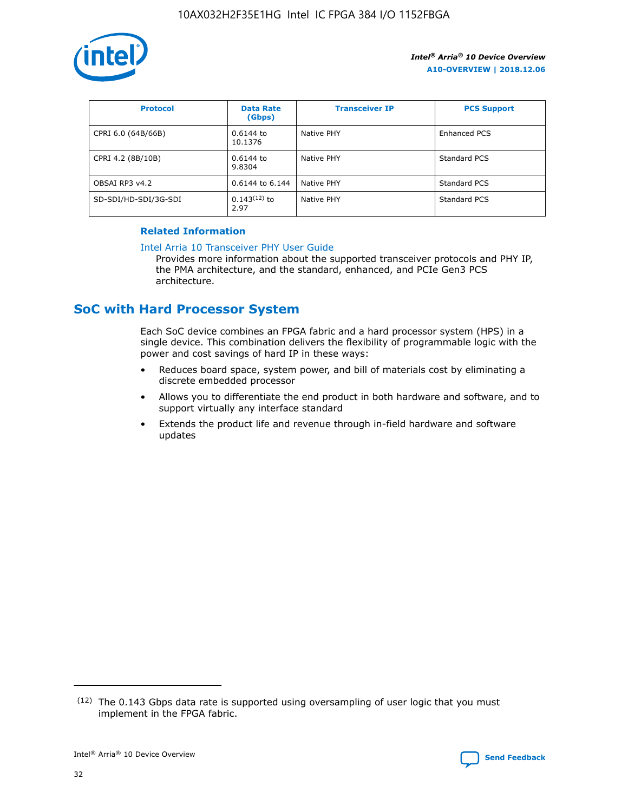

| <b>Protocol</b>      | <b>Data Rate</b><br>(Gbps) | <b>Transceiver IP</b> | <b>PCS Support</b> |
|----------------------|----------------------------|-----------------------|--------------------|
| CPRI 6.0 (64B/66B)   | 0.6144 to<br>10.1376       | Native PHY            | Enhanced PCS       |
| CPRI 4.2 (8B/10B)    | 0.6144 to<br>9.8304        | Native PHY            | Standard PCS       |
| OBSAI RP3 v4.2       | 0.6144 to 6.144            | Native PHY            | Standard PCS       |
| SD-SDI/HD-SDI/3G-SDI | $0.143(12)$ to<br>2.97     | Native PHY            | Standard PCS       |

## **Related Information**

#### [Intel Arria 10 Transceiver PHY User Guide](https://www.intel.com/content/www/us/en/programmable/documentation/nik1398707230472.html#nik1398707091164)

Provides more information about the supported transceiver protocols and PHY IP, the PMA architecture, and the standard, enhanced, and PCIe Gen3 PCS architecture.

## **SoC with Hard Processor System**

Each SoC device combines an FPGA fabric and a hard processor system (HPS) in a single device. This combination delivers the flexibility of programmable logic with the power and cost savings of hard IP in these ways:

- Reduces board space, system power, and bill of materials cost by eliminating a discrete embedded processor
- Allows you to differentiate the end product in both hardware and software, and to support virtually any interface standard
- Extends the product life and revenue through in-field hardware and software updates

 $(12)$  The 0.143 Gbps data rate is supported using oversampling of user logic that you must implement in the FPGA fabric.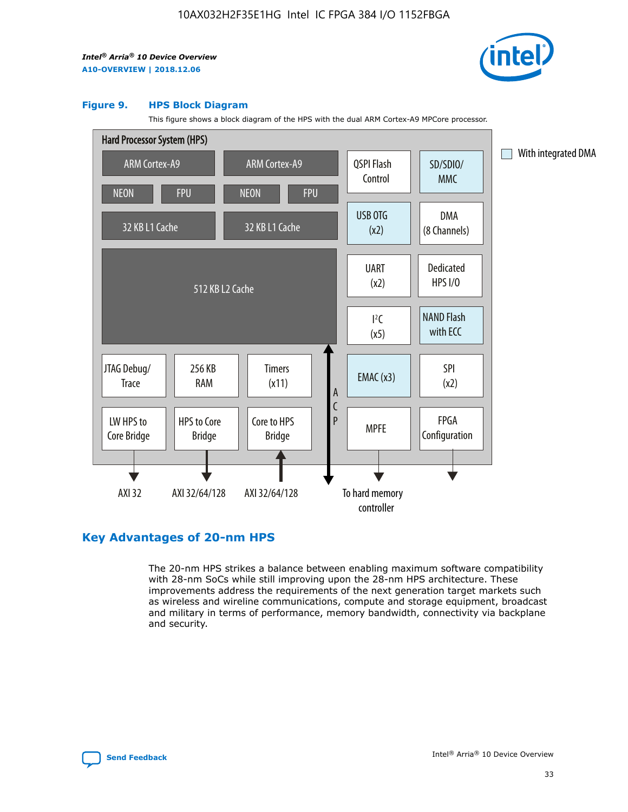

#### **Figure 9. HPS Block Diagram**

This figure shows a block diagram of the HPS with the dual ARM Cortex-A9 MPCore processor.



## **Key Advantages of 20-nm HPS**

The 20-nm HPS strikes a balance between enabling maximum software compatibility with 28-nm SoCs while still improving upon the 28-nm HPS architecture. These improvements address the requirements of the next generation target markets such as wireless and wireline communications, compute and storage equipment, broadcast and military in terms of performance, memory bandwidth, connectivity via backplane and security.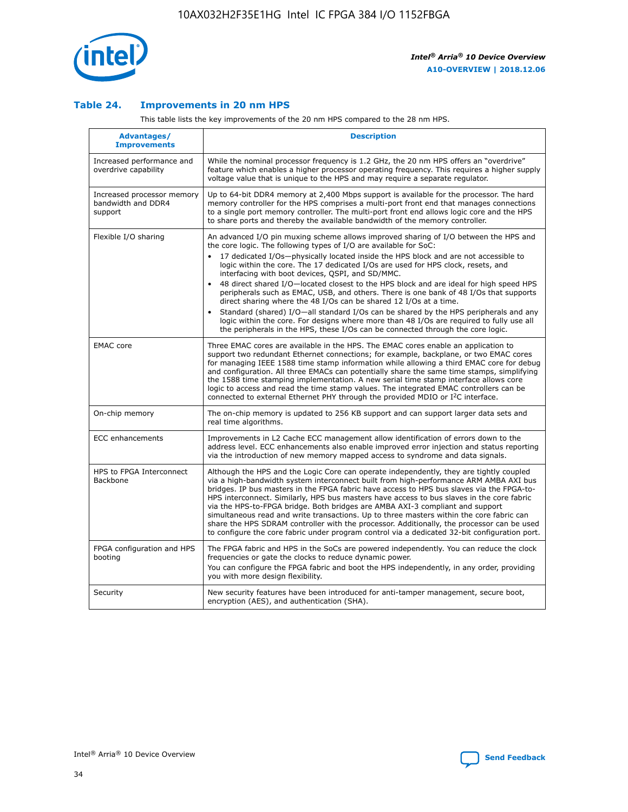

## **Table 24. Improvements in 20 nm HPS**

This table lists the key improvements of the 20 nm HPS compared to the 28 nm HPS.

| Advantages/<br><b>Improvements</b>                          | <b>Description</b>                                                                                                                                                                                                                                                                                                                                                                                                                                                                                                                                                                                                                                                                                                                                                                                                                                                                                                      |
|-------------------------------------------------------------|-------------------------------------------------------------------------------------------------------------------------------------------------------------------------------------------------------------------------------------------------------------------------------------------------------------------------------------------------------------------------------------------------------------------------------------------------------------------------------------------------------------------------------------------------------------------------------------------------------------------------------------------------------------------------------------------------------------------------------------------------------------------------------------------------------------------------------------------------------------------------------------------------------------------------|
| Increased performance and<br>overdrive capability           | While the nominal processor frequency is 1.2 GHz, the 20 nm HPS offers an "overdrive"<br>feature which enables a higher processor operating frequency. This requires a higher supply<br>voltage value that is unique to the HPS and may require a separate regulator.                                                                                                                                                                                                                                                                                                                                                                                                                                                                                                                                                                                                                                                   |
| Increased processor memory<br>bandwidth and DDR4<br>support | Up to 64-bit DDR4 memory at 2,400 Mbps support is available for the processor. The hard<br>memory controller for the HPS comprises a multi-port front end that manages connections<br>to a single port memory controller. The multi-port front end allows logic core and the HPS<br>to share ports and thereby the available bandwidth of the memory controller.                                                                                                                                                                                                                                                                                                                                                                                                                                                                                                                                                        |
| Flexible I/O sharing                                        | An advanced I/O pin muxing scheme allows improved sharing of I/O between the HPS and<br>the core logic. The following types of I/O are available for SoC:<br>17 dedicated I/Os-physically located inside the HPS block and are not accessible to<br>logic within the core. The 17 dedicated I/Os are used for HPS clock, resets, and<br>interfacing with boot devices, QSPI, and SD/MMC.<br>48 direct shared I/O-located closest to the HPS block and are ideal for high speed HPS<br>peripherals such as EMAC, USB, and others. There is one bank of 48 I/Os that supports<br>direct sharing where the 48 I/Os can be shared 12 I/Os at a time.<br>Standard (shared) I/O-all standard I/Os can be shared by the HPS peripherals and any<br>logic within the core. For designs where more than 48 I/Os are reguired to fully use all<br>the peripherals in the HPS, these I/Os can be connected through the core logic. |
| <b>EMAC</b> core                                            | Three EMAC cores are available in the HPS. The EMAC cores enable an application to<br>support two redundant Ethernet connections; for example, backplane, or two EMAC cores<br>for managing IEEE 1588 time stamp information while allowing a third EMAC core for debug<br>and configuration. All three EMACs can potentially share the same time stamps, simplifying<br>the 1588 time stamping implementation. A new serial time stamp interface allows core<br>logic to access and read the time stamp values. The integrated EMAC controllers can be<br>connected to external Ethernet PHY through the provided MDIO or I <sup>2</sup> C interface.                                                                                                                                                                                                                                                                  |
| On-chip memory                                              | The on-chip memory is updated to 256 KB support and can support larger data sets and<br>real time algorithms.                                                                                                                                                                                                                                                                                                                                                                                                                                                                                                                                                                                                                                                                                                                                                                                                           |
| <b>ECC</b> enhancements                                     | Improvements in L2 Cache ECC management allow identification of errors down to the<br>address level. ECC enhancements also enable improved error injection and status reporting<br>via the introduction of new memory mapped access to syndrome and data signals.                                                                                                                                                                                                                                                                                                                                                                                                                                                                                                                                                                                                                                                       |
| HPS to FPGA Interconnect<br>Backbone                        | Although the HPS and the Logic Core can operate independently, they are tightly coupled<br>via a high-bandwidth system interconnect built from high-performance ARM AMBA AXI bus<br>bridges. IP bus masters in the FPGA fabric have access to HPS bus slaves via the FPGA-to-<br>HPS interconnect. Similarly, HPS bus masters have access to bus slaves in the core fabric<br>via the HPS-to-FPGA bridge. Both bridges are AMBA AXI-3 compliant and support<br>simultaneous read and write transactions. Up to three masters within the core fabric can<br>share the HPS SDRAM controller with the processor. Additionally, the processor can be used<br>to configure the core fabric under program control via a dedicated 32-bit configuration port.                                                                                                                                                                  |
| FPGA configuration and HPS<br>booting                       | The FPGA fabric and HPS in the SoCs are powered independently. You can reduce the clock<br>frequencies or gate the clocks to reduce dynamic power.<br>You can configure the FPGA fabric and boot the HPS independently, in any order, providing<br>you with more design flexibility.                                                                                                                                                                                                                                                                                                                                                                                                                                                                                                                                                                                                                                    |
| Security                                                    | New security features have been introduced for anti-tamper management, secure boot,<br>encryption (AES), and authentication (SHA).                                                                                                                                                                                                                                                                                                                                                                                                                                                                                                                                                                                                                                                                                                                                                                                      |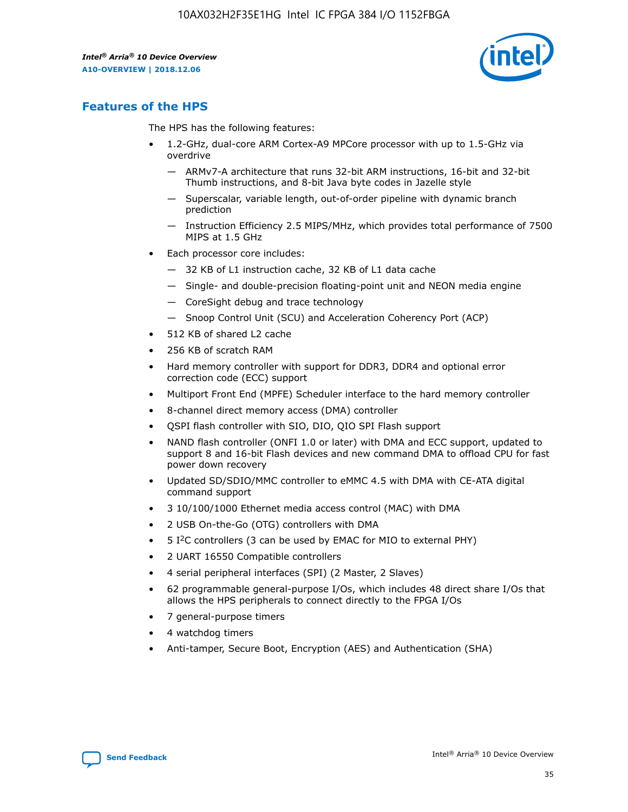

## **Features of the HPS**

The HPS has the following features:

- 1.2-GHz, dual-core ARM Cortex-A9 MPCore processor with up to 1.5-GHz via overdrive
	- ARMv7-A architecture that runs 32-bit ARM instructions, 16-bit and 32-bit Thumb instructions, and 8-bit Java byte codes in Jazelle style
	- Superscalar, variable length, out-of-order pipeline with dynamic branch prediction
	- Instruction Efficiency 2.5 MIPS/MHz, which provides total performance of 7500 MIPS at 1.5 GHz
- Each processor core includes:
	- 32 KB of L1 instruction cache, 32 KB of L1 data cache
	- Single- and double-precision floating-point unit and NEON media engine
	- CoreSight debug and trace technology
	- Snoop Control Unit (SCU) and Acceleration Coherency Port (ACP)
- 512 KB of shared L2 cache
- 256 KB of scratch RAM
- Hard memory controller with support for DDR3, DDR4 and optional error correction code (ECC) support
- Multiport Front End (MPFE) Scheduler interface to the hard memory controller
- 8-channel direct memory access (DMA) controller
- QSPI flash controller with SIO, DIO, QIO SPI Flash support
- NAND flash controller (ONFI 1.0 or later) with DMA and ECC support, updated to support 8 and 16-bit Flash devices and new command DMA to offload CPU for fast power down recovery
- Updated SD/SDIO/MMC controller to eMMC 4.5 with DMA with CE-ATA digital command support
- 3 10/100/1000 Ethernet media access control (MAC) with DMA
- 2 USB On-the-Go (OTG) controllers with DMA
- $\bullet$  5 I<sup>2</sup>C controllers (3 can be used by EMAC for MIO to external PHY)
- 2 UART 16550 Compatible controllers
- 4 serial peripheral interfaces (SPI) (2 Master, 2 Slaves)
- 62 programmable general-purpose I/Os, which includes 48 direct share I/Os that allows the HPS peripherals to connect directly to the FPGA I/Os
- 7 general-purpose timers
- 4 watchdog timers
- Anti-tamper, Secure Boot, Encryption (AES) and Authentication (SHA)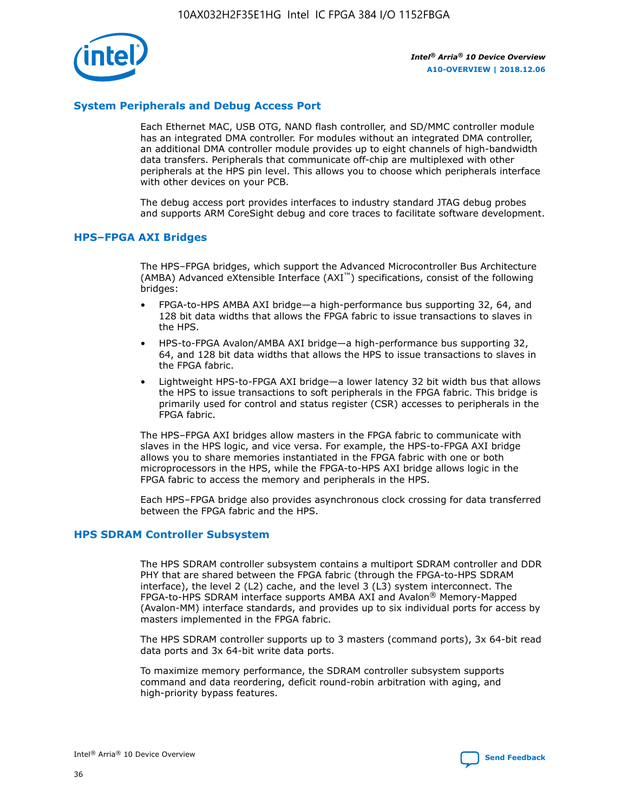

## **System Peripherals and Debug Access Port**

Each Ethernet MAC, USB OTG, NAND flash controller, and SD/MMC controller module has an integrated DMA controller. For modules without an integrated DMA controller, an additional DMA controller module provides up to eight channels of high-bandwidth data transfers. Peripherals that communicate off-chip are multiplexed with other peripherals at the HPS pin level. This allows you to choose which peripherals interface with other devices on your PCB.

The debug access port provides interfaces to industry standard JTAG debug probes and supports ARM CoreSight debug and core traces to facilitate software development.

#### **HPS–FPGA AXI Bridges**

The HPS–FPGA bridges, which support the Advanced Microcontroller Bus Architecture (AMBA) Advanced eXtensible Interface (AXI™) specifications, consist of the following bridges:

- FPGA-to-HPS AMBA AXI bridge—a high-performance bus supporting 32, 64, and 128 bit data widths that allows the FPGA fabric to issue transactions to slaves in the HPS.
- HPS-to-FPGA Avalon/AMBA AXI bridge—a high-performance bus supporting 32, 64, and 128 bit data widths that allows the HPS to issue transactions to slaves in the FPGA fabric.
- Lightweight HPS-to-FPGA AXI bridge—a lower latency 32 bit width bus that allows the HPS to issue transactions to soft peripherals in the FPGA fabric. This bridge is primarily used for control and status register (CSR) accesses to peripherals in the FPGA fabric.

The HPS–FPGA AXI bridges allow masters in the FPGA fabric to communicate with slaves in the HPS logic, and vice versa. For example, the HPS-to-FPGA AXI bridge allows you to share memories instantiated in the FPGA fabric with one or both microprocessors in the HPS, while the FPGA-to-HPS AXI bridge allows logic in the FPGA fabric to access the memory and peripherals in the HPS.

Each HPS–FPGA bridge also provides asynchronous clock crossing for data transferred between the FPGA fabric and the HPS.

#### **HPS SDRAM Controller Subsystem**

The HPS SDRAM controller subsystem contains a multiport SDRAM controller and DDR PHY that are shared between the FPGA fabric (through the FPGA-to-HPS SDRAM interface), the level 2 (L2) cache, and the level 3 (L3) system interconnect. The FPGA-to-HPS SDRAM interface supports AMBA AXI and Avalon® Memory-Mapped (Avalon-MM) interface standards, and provides up to six individual ports for access by masters implemented in the FPGA fabric.

The HPS SDRAM controller supports up to 3 masters (command ports), 3x 64-bit read data ports and 3x 64-bit write data ports.

To maximize memory performance, the SDRAM controller subsystem supports command and data reordering, deficit round-robin arbitration with aging, and high-priority bypass features.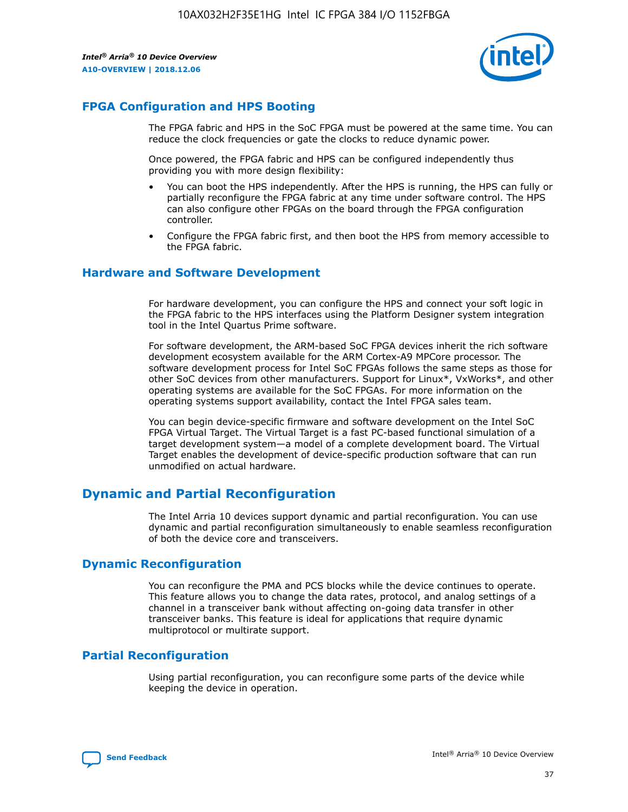

## **FPGA Configuration and HPS Booting**

The FPGA fabric and HPS in the SoC FPGA must be powered at the same time. You can reduce the clock frequencies or gate the clocks to reduce dynamic power.

Once powered, the FPGA fabric and HPS can be configured independently thus providing you with more design flexibility:

- You can boot the HPS independently. After the HPS is running, the HPS can fully or partially reconfigure the FPGA fabric at any time under software control. The HPS can also configure other FPGAs on the board through the FPGA configuration controller.
- Configure the FPGA fabric first, and then boot the HPS from memory accessible to the FPGA fabric.

## **Hardware and Software Development**

For hardware development, you can configure the HPS and connect your soft logic in the FPGA fabric to the HPS interfaces using the Platform Designer system integration tool in the Intel Quartus Prime software.

For software development, the ARM-based SoC FPGA devices inherit the rich software development ecosystem available for the ARM Cortex-A9 MPCore processor. The software development process for Intel SoC FPGAs follows the same steps as those for other SoC devices from other manufacturers. Support for Linux\*, VxWorks\*, and other operating systems are available for the SoC FPGAs. For more information on the operating systems support availability, contact the Intel FPGA sales team.

You can begin device-specific firmware and software development on the Intel SoC FPGA Virtual Target. The Virtual Target is a fast PC-based functional simulation of a target development system—a model of a complete development board. The Virtual Target enables the development of device-specific production software that can run unmodified on actual hardware.

## **Dynamic and Partial Reconfiguration**

The Intel Arria 10 devices support dynamic and partial reconfiguration. You can use dynamic and partial reconfiguration simultaneously to enable seamless reconfiguration of both the device core and transceivers.

## **Dynamic Reconfiguration**

You can reconfigure the PMA and PCS blocks while the device continues to operate. This feature allows you to change the data rates, protocol, and analog settings of a channel in a transceiver bank without affecting on-going data transfer in other transceiver banks. This feature is ideal for applications that require dynamic multiprotocol or multirate support.

## **Partial Reconfiguration**

Using partial reconfiguration, you can reconfigure some parts of the device while keeping the device in operation.

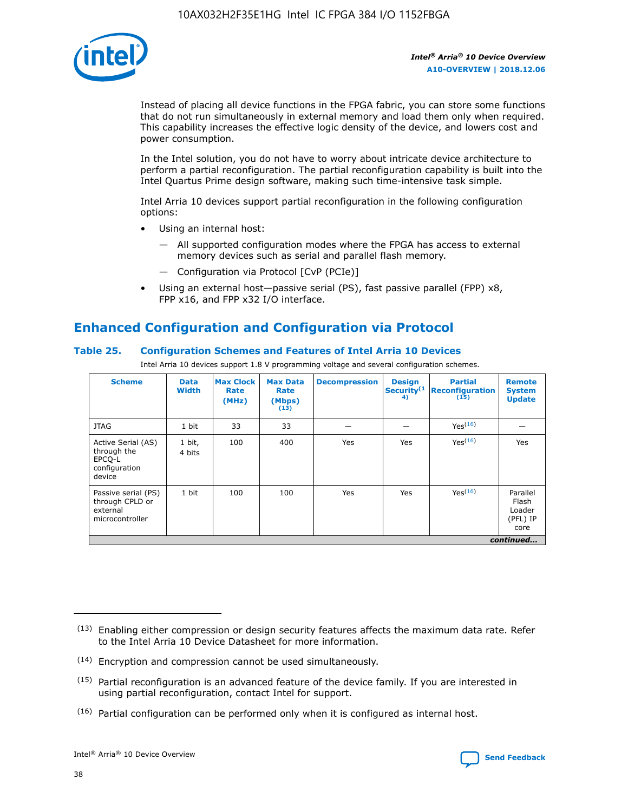

Instead of placing all device functions in the FPGA fabric, you can store some functions that do not run simultaneously in external memory and load them only when required. This capability increases the effective logic density of the device, and lowers cost and power consumption.

In the Intel solution, you do not have to worry about intricate device architecture to perform a partial reconfiguration. The partial reconfiguration capability is built into the Intel Quartus Prime design software, making such time-intensive task simple.

Intel Arria 10 devices support partial reconfiguration in the following configuration options:

- Using an internal host:
	- All supported configuration modes where the FPGA has access to external memory devices such as serial and parallel flash memory.
	- Configuration via Protocol [CvP (PCIe)]
- Using an external host—passive serial (PS), fast passive parallel (FPP) x8, FPP x16, and FPP x32 I/O interface.

# **Enhanced Configuration and Configuration via Protocol**

## **Table 25. Configuration Schemes and Features of Intel Arria 10 Devices**

Intel Arria 10 devices support 1.8 V programming voltage and several configuration schemes.

| <b>Scheme</b>                                                          | <b>Data</b><br><b>Width</b> | <b>Max Clock</b><br>Rate<br>(MHz) | <b>Max Data</b><br>Rate<br>(Mbps)<br>(13) | <b>Decompression</b> | <b>Design</b><br>Security <sup>(1</sup><br>4) | <b>Partial</b><br><b>Reconfiguration</b><br>(15) | <b>Remote</b><br><b>System</b><br><b>Update</b> |
|------------------------------------------------------------------------|-----------------------------|-----------------------------------|-------------------------------------------|----------------------|-----------------------------------------------|--------------------------------------------------|-------------------------------------------------|
| <b>JTAG</b>                                                            | 1 bit                       | 33                                | 33                                        |                      |                                               | Yes(16)                                          |                                                 |
| Active Serial (AS)<br>through the<br>EPCO-L<br>configuration<br>device | 1 bit,<br>4 bits            | 100                               | 400                                       | Yes                  | Yes                                           | $Y_{PS}(16)$                                     | Yes                                             |
| Passive serial (PS)<br>through CPLD or<br>external<br>microcontroller  | 1 bit                       | 100                               | 100                                       | Yes                  | Yes                                           | Yes(16)                                          | Parallel<br>Flash<br>Loader<br>(PFL) IP<br>core |
|                                                                        | continued                   |                                   |                                           |                      |                                               |                                                  |                                                 |

<sup>(13)</sup> Enabling either compression or design security features affects the maximum data rate. Refer to the Intel Arria 10 Device Datasheet for more information.

<sup>(14)</sup> Encryption and compression cannot be used simultaneously.

 $(15)$  Partial reconfiguration is an advanced feature of the device family. If you are interested in using partial reconfiguration, contact Intel for support.

 $(16)$  Partial configuration can be performed only when it is configured as internal host.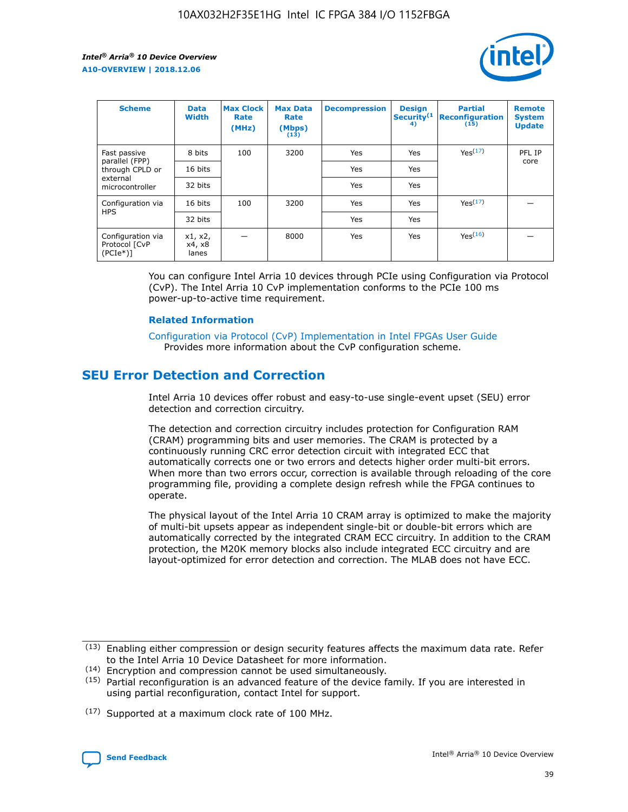

| <b>Scheme</b>                                    | <b>Data</b><br><b>Width</b> | <b>Max Clock</b><br>Rate<br>(MHz) | <b>Max Data</b><br>Rate<br>(Mbps)<br>(13) | <b>Decompression</b> | <b>Design</b><br>Security <sup>(1</sup><br>4) | <b>Partial</b><br><b>Reconfiguration</b><br>(15) | <b>Remote</b><br><b>System</b><br><b>Update</b> |
|--------------------------------------------------|-----------------------------|-----------------------------------|-------------------------------------------|----------------------|-----------------------------------------------|--------------------------------------------------|-------------------------------------------------|
| Fast passive                                     | 8 bits                      | 100                               | 3200                                      | Yes                  | Yes                                           | Yes(17)                                          | PFL IP                                          |
| parallel (FPP)<br>through CPLD or                | 16 bits                     |                                   |                                           | Yes                  | Yes                                           |                                                  | core                                            |
| external<br>microcontroller                      | 32 bits                     |                                   |                                           | Yes                  | Yes                                           |                                                  |                                                 |
| Configuration via                                | 16 bits                     | 100                               | 3200                                      | Yes                  | Yes                                           | Yes <sup>(17)</sup>                              |                                                 |
| <b>HPS</b>                                       | 32 bits                     |                                   |                                           | Yes                  | Yes                                           |                                                  |                                                 |
| Configuration via<br>Protocol [CvP<br>$(PCIe^*)$ | x1, x2,<br>x4, x8<br>lanes  |                                   | 8000                                      | Yes                  | Yes                                           | Yes <sup>(16)</sup>                              |                                                 |

You can configure Intel Arria 10 devices through PCIe using Configuration via Protocol (CvP). The Intel Arria 10 CvP implementation conforms to the PCIe 100 ms power-up-to-active time requirement.

#### **Related Information**

[Configuration via Protocol \(CvP\) Implementation in Intel FPGAs User Guide](https://www.intel.com/content/www/us/en/programmable/documentation/dsu1441819344145.html#dsu1442269728522) Provides more information about the CvP configuration scheme.

## **SEU Error Detection and Correction**

Intel Arria 10 devices offer robust and easy-to-use single-event upset (SEU) error detection and correction circuitry.

The detection and correction circuitry includes protection for Configuration RAM (CRAM) programming bits and user memories. The CRAM is protected by a continuously running CRC error detection circuit with integrated ECC that automatically corrects one or two errors and detects higher order multi-bit errors. When more than two errors occur, correction is available through reloading of the core programming file, providing a complete design refresh while the FPGA continues to operate.

The physical layout of the Intel Arria 10 CRAM array is optimized to make the majority of multi-bit upsets appear as independent single-bit or double-bit errors which are automatically corrected by the integrated CRAM ECC circuitry. In addition to the CRAM protection, the M20K memory blocks also include integrated ECC circuitry and are layout-optimized for error detection and correction. The MLAB does not have ECC.

(14) Encryption and compression cannot be used simultaneously.

<sup>(17)</sup> Supported at a maximum clock rate of 100 MHz.



 $(13)$  Enabling either compression or design security features affects the maximum data rate. Refer to the Intel Arria 10 Device Datasheet for more information.

 $(15)$  Partial reconfiguration is an advanced feature of the device family. If you are interested in using partial reconfiguration, contact Intel for support.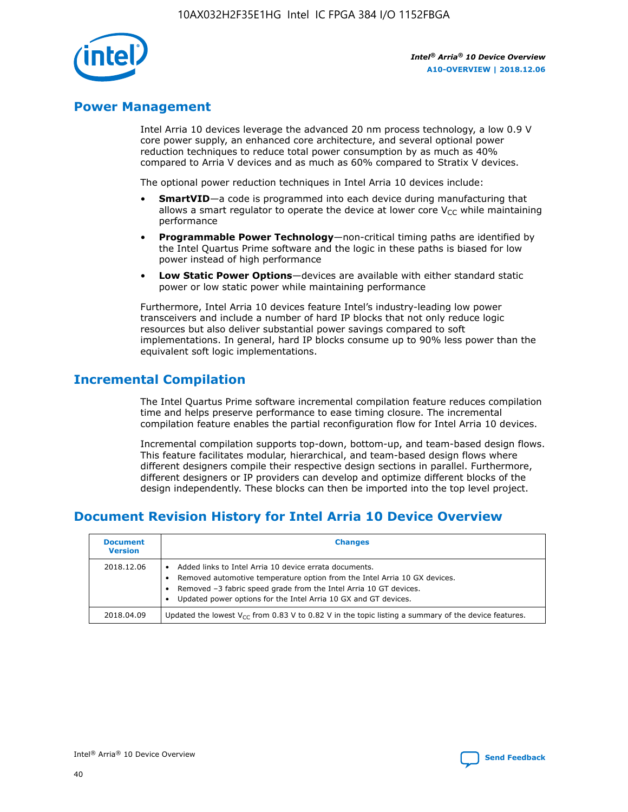

## **Power Management**

Intel Arria 10 devices leverage the advanced 20 nm process technology, a low 0.9 V core power supply, an enhanced core architecture, and several optional power reduction techniques to reduce total power consumption by as much as 40% compared to Arria V devices and as much as 60% compared to Stratix V devices.

The optional power reduction techniques in Intel Arria 10 devices include:

- **SmartVID**—a code is programmed into each device during manufacturing that allows a smart regulator to operate the device at lower core  $V_{CC}$  while maintaining performance
- **Programmable Power Technology**—non-critical timing paths are identified by the Intel Quartus Prime software and the logic in these paths is biased for low power instead of high performance
- **Low Static Power Options**—devices are available with either standard static power or low static power while maintaining performance

Furthermore, Intel Arria 10 devices feature Intel's industry-leading low power transceivers and include a number of hard IP blocks that not only reduce logic resources but also deliver substantial power savings compared to soft implementations. In general, hard IP blocks consume up to 90% less power than the equivalent soft logic implementations.

## **Incremental Compilation**

The Intel Quartus Prime software incremental compilation feature reduces compilation time and helps preserve performance to ease timing closure. The incremental compilation feature enables the partial reconfiguration flow for Intel Arria 10 devices.

Incremental compilation supports top-down, bottom-up, and team-based design flows. This feature facilitates modular, hierarchical, and team-based design flows where different designers compile their respective design sections in parallel. Furthermore, different designers or IP providers can develop and optimize different blocks of the design independently. These blocks can then be imported into the top level project.

# **Document Revision History for Intel Arria 10 Device Overview**

| <b>Document</b><br><b>Version</b> | <b>Changes</b>                                                                                                                                                                                                                                                              |
|-----------------------------------|-----------------------------------------------------------------------------------------------------------------------------------------------------------------------------------------------------------------------------------------------------------------------------|
| 2018.12.06                        | Added links to Intel Arria 10 device errata documents.<br>Removed automotive temperature option from the Intel Arria 10 GX devices.<br>Removed -3 fabric speed grade from the Intel Arria 10 GT devices.<br>Updated power options for the Intel Arria 10 GX and GT devices. |
| 2018.04.09                        | Updated the lowest $V_{CC}$ from 0.83 V to 0.82 V in the topic listing a summary of the device features.                                                                                                                                                                    |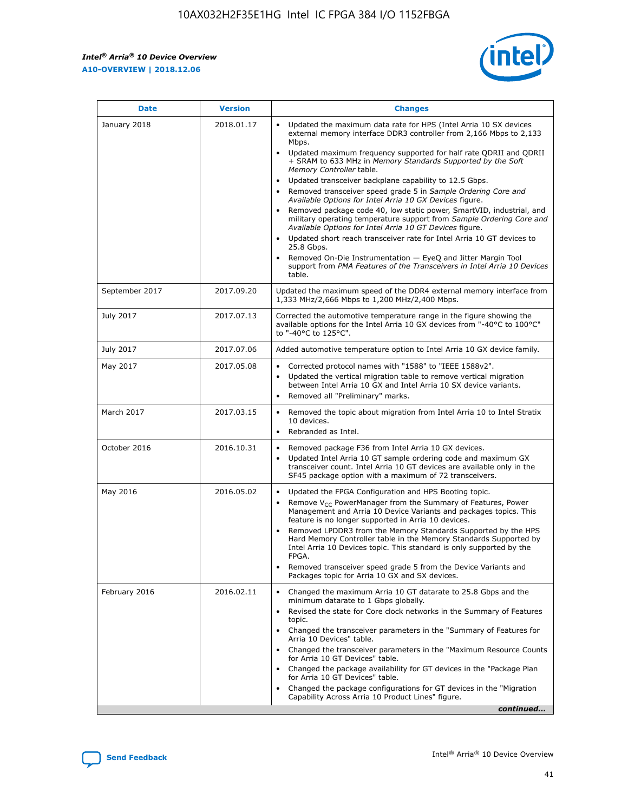*Intel® Arria® 10 Device Overview* **A10-OVERVIEW | 2018.12.06**



| <b>Date</b>    | <b>Version</b> | <b>Changes</b>                                                                                                                                                                                                                                                                                                                                                                                                                                                                                                                                                                                                                                                                                                                                                                                                                                                                                                                                                            |
|----------------|----------------|---------------------------------------------------------------------------------------------------------------------------------------------------------------------------------------------------------------------------------------------------------------------------------------------------------------------------------------------------------------------------------------------------------------------------------------------------------------------------------------------------------------------------------------------------------------------------------------------------------------------------------------------------------------------------------------------------------------------------------------------------------------------------------------------------------------------------------------------------------------------------------------------------------------------------------------------------------------------------|
| January 2018   | 2018.01.17     | Updated the maximum data rate for HPS (Intel Arria 10 SX devices<br>external memory interface DDR3 controller from 2,166 Mbps to 2,133<br>Mbps.<br>Updated maximum frequency supported for half rate QDRII and QDRII<br>+ SRAM to 633 MHz in Memory Standards Supported by the Soft<br>Memory Controller table.<br>Updated transceiver backplane capability to 12.5 Gbps.<br>$\bullet$<br>Removed transceiver speed grade 5 in Sample Ordering Core and<br>Available Options for Intel Arria 10 GX Devices figure.<br>Removed package code 40, low static power, SmartVID, industrial, and<br>military operating temperature support from Sample Ordering Core and<br>Available Options for Intel Arria 10 GT Devices figure.<br>Updated short reach transceiver rate for Intel Arria 10 GT devices to<br>25.8 Gbps.<br>Removed On-Die Instrumentation - EyeQ and Jitter Margin Tool<br>support from PMA Features of the Transceivers in Intel Arria 10 Devices<br>table. |
| September 2017 | 2017.09.20     | Updated the maximum speed of the DDR4 external memory interface from<br>1,333 MHz/2,666 Mbps to 1,200 MHz/2,400 Mbps.                                                                                                                                                                                                                                                                                                                                                                                                                                                                                                                                                                                                                                                                                                                                                                                                                                                     |
| July 2017      | 2017.07.13     | Corrected the automotive temperature range in the figure showing the<br>available options for the Intel Arria 10 GX devices from "-40°C to 100°C"<br>to "-40°C to 125°C".                                                                                                                                                                                                                                                                                                                                                                                                                                                                                                                                                                                                                                                                                                                                                                                                 |
| July 2017      | 2017.07.06     | Added automotive temperature option to Intel Arria 10 GX device family.                                                                                                                                                                                                                                                                                                                                                                                                                                                                                                                                                                                                                                                                                                                                                                                                                                                                                                   |
| May 2017       | 2017.05.08     | Corrected protocol names with "1588" to "IEEE 1588v2".<br>Updated the vertical migration table to remove vertical migration<br>between Intel Arria 10 GX and Intel Arria 10 SX device variants.<br>Removed all "Preliminary" marks.                                                                                                                                                                                                                                                                                                                                                                                                                                                                                                                                                                                                                                                                                                                                       |
| March 2017     | 2017.03.15     | Removed the topic about migration from Intel Arria 10 to Intel Stratix<br>10 devices.<br>Rebranded as Intel.<br>$\bullet$                                                                                                                                                                                                                                                                                                                                                                                                                                                                                                                                                                                                                                                                                                                                                                                                                                                 |
| October 2016   | 2016.10.31     | Removed package F36 from Intel Arria 10 GX devices.<br>Updated Intel Arria 10 GT sample ordering code and maximum GX<br>$\bullet$<br>transceiver count. Intel Arria 10 GT devices are available only in the<br>SF45 package option with a maximum of 72 transceivers.                                                                                                                                                                                                                                                                                                                                                                                                                                                                                                                                                                                                                                                                                                     |
| May 2016       | 2016.05.02     | Updated the FPGA Configuration and HPS Booting topic.<br>Remove V <sub>CC</sub> PowerManager from the Summary of Features, Power<br>Management and Arria 10 Device Variants and packages topics. This<br>feature is no longer supported in Arria 10 devices.<br>Removed LPDDR3 from the Memory Standards Supported by the HPS<br>Hard Memory Controller table in the Memory Standards Supported by<br>Intel Arria 10 Devices topic. This standard is only supported by the<br>FPGA.<br>Removed transceiver speed grade 5 from the Device Variants and<br>Packages topic for Arria 10 GX and SX devices.                                                                                                                                                                                                                                                                                                                                                                   |
| February 2016  | 2016.02.11     | Changed the maximum Arria 10 GT datarate to 25.8 Gbps and the<br>minimum datarate to 1 Gbps globally.<br>Revised the state for Core clock networks in the Summary of Features<br>$\bullet$<br>topic.<br>Changed the transceiver parameters in the "Summary of Features for<br>Arria 10 Devices" table.<br>• Changed the transceiver parameters in the "Maximum Resource Counts<br>for Arria 10 GT Devices" table.<br>• Changed the package availability for GT devices in the "Package Plan<br>for Arria 10 GT Devices" table.<br>Changed the package configurations for GT devices in the "Migration"<br>Capability Across Arria 10 Product Lines" figure.<br>continued                                                                                                                                                                                                                                                                                                  |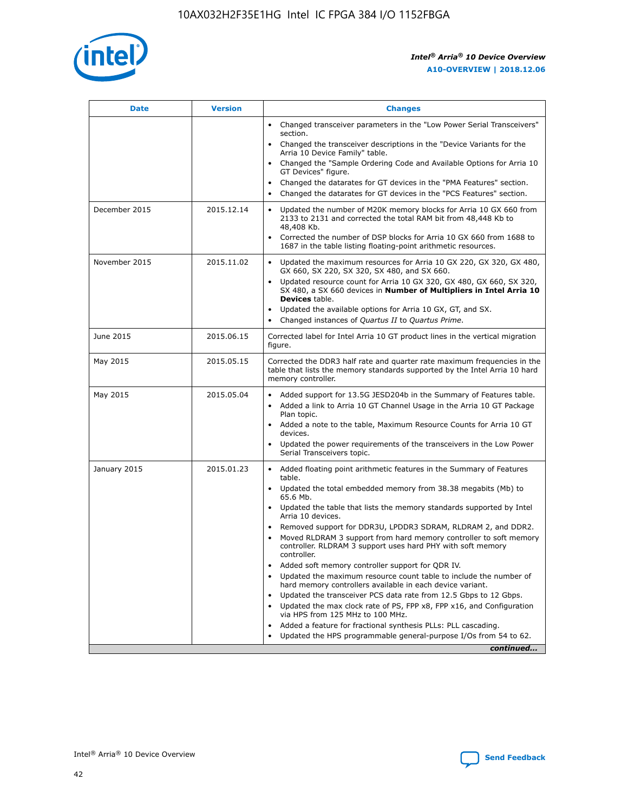

| <b>Date</b>   | <b>Version</b> | <b>Changes</b>                                                                                                                                                                   |
|---------------|----------------|----------------------------------------------------------------------------------------------------------------------------------------------------------------------------------|
|               |                | • Changed transceiver parameters in the "Low Power Serial Transceivers"<br>section.                                                                                              |
|               |                | • Changed the transceiver descriptions in the "Device Variants for the<br>Arria 10 Device Family" table.                                                                         |
|               |                | Changed the "Sample Ordering Code and Available Options for Arria 10<br>GT Devices" figure.                                                                                      |
|               |                | Changed the datarates for GT devices in the "PMA Features" section.                                                                                                              |
|               |                | Changed the datarates for GT devices in the "PCS Features" section.<br>$\bullet$                                                                                                 |
| December 2015 | 2015.12.14     | Updated the number of M20K memory blocks for Arria 10 GX 660 from<br>$\bullet$<br>2133 to 2131 and corrected the total RAM bit from 48,448 Kb to<br>48,408 Kb.                   |
|               |                | Corrected the number of DSP blocks for Arria 10 GX 660 from 1688 to<br>$\bullet$<br>1687 in the table listing floating-point arithmetic resources.                               |
| November 2015 | 2015.11.02     | Updated the maximum resources for Arria 10 GX 220, GX 320, GX 480,<br>$\bullet$<br>GX 660, SX 220, SX 320, SX 480, and SX 660.                                                   |
|               |                | Updated resource count for Arria 10 GX 320, GX 480, GX 660, SX 320,<br>$\bullet$<br>SX 480, a SX 660 devices in Number of Multipliers in Intel Arria 10<br><b>Devices</b> table. |
|               |                | Updated the available options for Arria 10 GX, GT, and SX.<br>$\bullet$                                                                                                          |
|               |                | Changed instances of Quartus II to Quartus Prime.<br>$\bullet$                                                                                                                   |
| June 2015     | 2015.06.15     | Corrected label for Intel Arria 10 GT product lines in the vertical migration<br>figure.                                                                                         |
| May 2015      | 2015.05.15     | Corrected the DDR3 half rate and quarter rate maximum frequencies in the<br>table that lists the memory standards supported by the Intel Arria 10 hard<br>memory controller.     |
| May 2015      | 2015.05.04     | • Added support for 13.5G JESD204b in the Summary of Features table.<br>• Added a link to Arria 10 GT Channel Usage in the Arria 10 GT Package<br>Plan topic.                    |
|               |                | • Added a note to the table, Maximum Resource Counts for Arria 10 GT<br>devices.                                                                                                 |
|               |                | Updated the power requirements of the transceivers in the Low Power<br>Serial Transceivers topic.                                                                                |
| January 2015  | 2015.01.23     | • Added floating point arithmetic features in the Summary of Features<br>table.                                                                                                  |
|               |                | • Updated the total embedded memory from 38.38 megabits (Mb) to<br>65.6 Mb.                                                                                                      |
|               |                | • Updated the table that lists the memory standards supported by Intel<br>Arria 10 devices.                                                                                      |
|               |                | Removed support for DDR3U, LPDDR3 SDRAM, RLDRAM 2, and DDR2.                                                                                                                     |
|               |                | Moved RLDRAM 3 support from hard memory controller to soft memory<br>controller. RLDRAM 3 support uses hard PHY with soft memory<br>controller.                                  |
|               |                | Added soft memory controller support for QDR IV.                                                                                                                                 |
|               |                | Updated the maximum resource count table to include the number of<br>hard memory controllers available in each device variant.                                                   |
|               |                | Updated the transceiver PCS data rate from 12.5 Gbps to 12 Gbps.<br>$\bullet$                                                                                                    |
|               |                | Updated the max clock rate of PS, FPP x8, FPP x16, and Configuration<br>via HPS from 125 MHz to 100 MHz.                                                                         |
|               |                | Added a feature for fractional synthesis PLLs: PLL cascading.                                                                                                                    |
|               |                | Updated the HPS programmable general-purpose I/Os from 54 to 62.                                                                                                                 |
|               |                | continued                                                                                                                                                                        |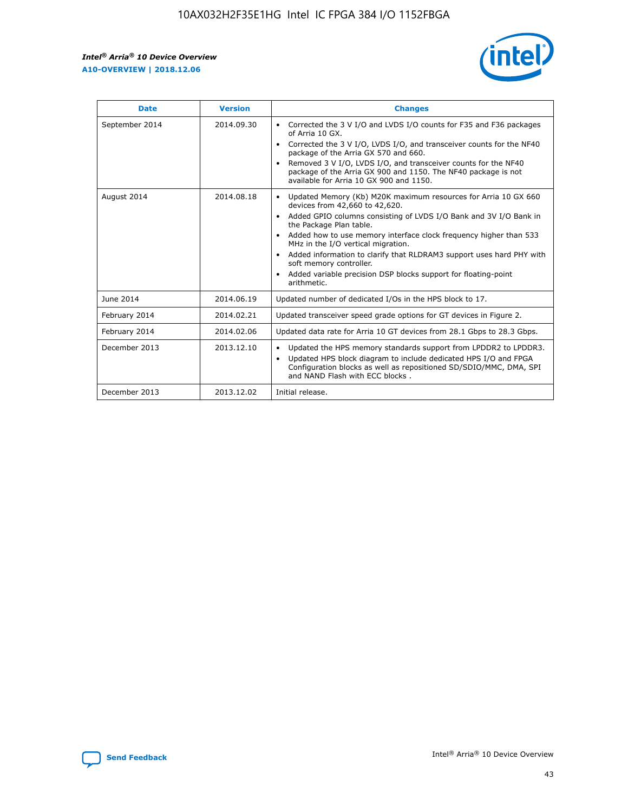r



| <b>Date</b>    | <b>Version</b> | <b>Changes</b>                                                                                                                                                                                                                                                                                                                                                                                                                                                                                                                         |
|----------------|----------------|----------------------------------------------------------------------------------------------------------------------------------------------------------------------------------------------------------------------------------------------------------------------------------------------------------------------------------------------------------------------------------------------------------------------------------------------------------------------------------------------------------------------------------------|
| September 2014 | 2014.09.30     | Corrected the 3 V I/O and LVDS I/O counts for F35 and F36 packages<br>of Arria 10 GX.<br>Corrected the 3 V I/O, LVDS I/O, and transceiver counts for the NF40<br>$\bullet$<br>package of the Arria GX 570 and 660.<br>Removed 3 V I/O, LVDS I/O, and transceiver counts for the NF40<br>package of the Arria GX 900 and 1150. The NF40 package is not<br>available for Arria 10 GX 900 and 1150.                                                                                                                                       |
| August 2014    | 2014.08.18     | Updated Memory (Kb) M20K maximum resources for Arria 10 GX 660<br>devices from 42,660 to 42,620.<br>Added GPIO columns consisting of LVDS I/O Bank and 3V I/O Bank in<br>$\bullet$<br>the Package Plan table.<br>Added how to use memory interface clock frequency higher than 533<br>$\bullet$<br>MHz in the I/O vertical migration.<br>Added information to clarify that RLDRAM3 support uses hard PHY with<br>$\bullet$<br>soft memory controller.<br>Added variable precision DSP blocks support for floating-point<br>arithmetic. |
| June 2014      | 2014.06.19     | Updated number of dedicated I/Os in the HPS block to 17.                                                                                                                                                                                                                                                                                                                                                                                                                                                                               |
| February 2014  | 2014.02.21     | Updated transceiver speed grade options for GT devices in Figure 2.                                                                                                                                                                                                                                                                                                                                                                                                                                                                    |
| February 2014  | 2014.02.06     | Updated data rate for Arria 10 GT devices from 28.1 Gbps to 28.3 Gbps.                                                                                                                                                                                                                                                                                                                                                                                                                                                                 |
| December 2013  | 2013.12.10     | Updated the HPS memory standards support from LPDDR2 to LPDDR3.<br>Updated HPS block diagram to include dedicated HPS I/O and FPGA<br>$\bullet$<br>Configuration blocks as well as repositioned SD/SDIO/MMC, DMA, SPI<br>and NAND Flash with ECC blocks.                                                                                                                                                                                                                                                                               |
| December 2013  | 2013.12.02     | Initial release.                                                                                                                                                                                                                                                                                                                                                                                                                                                                                                                       |